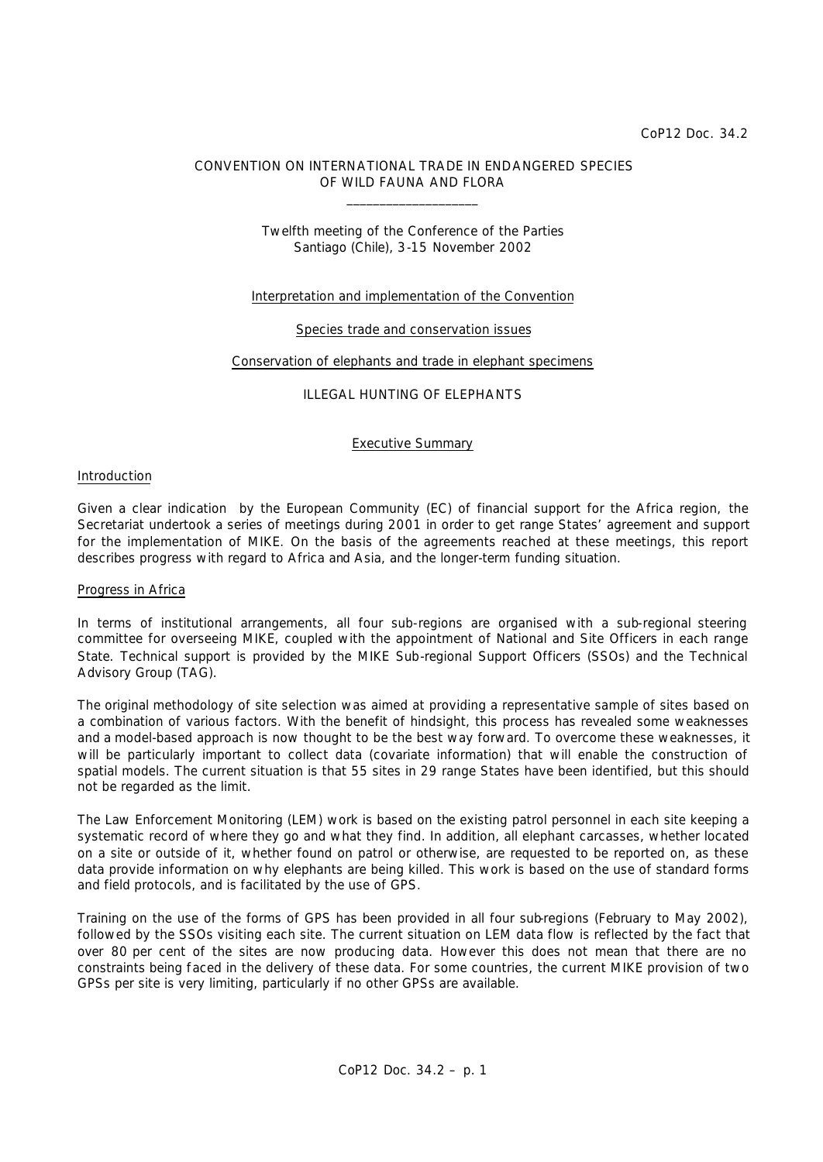### CONVENTION ON INTERNATIONAL TRADE IN ENDANGERED SPECIES OF WILD FAUNA AND FLORA \_\_\_\_\_\_\_\_\_\_\_\_\_\_\_\_\_\_\_\_

## Twelfth meeting of the Conference of the Parties Santiago (Chile), 3-15 November 2002

### Interpretation and implementation of the Convention

### Species trade and conservation issues

### Conservation of elephants and trade in elephant specimens

### ILLEGAL HUNTING OF ELEPHANTS

Executive Summary

### Introduction

Given a clear indication by the European Community (EC) of financial support for the Africa region, the Secretariat undertook a series of meetings during 2001 in order to get range States' agreement and support for the implementation of MIKE. On the basis of the agreements reached at these meetings, this report describes progress with regard to Africa and Asia, and the longer-term funding situation.

#### Progress in Africa

In terms of institutional arrangements, all four sub-regions are organised with a sub-regional steering committee for overseeing MIKE, coupled with the appointment of National and Site Officers in each range State. Technical support is provided by the MIKE Sub-regional Support Officers (SSOs) and the Technical Advisory Group (TAG).

The original methodology of site selection was aimed at providing a representative sample of sites based on a combination of various factors. With the benefit of hindsight, this process has revealed some weaknesses and a model-based approach is now thought to be the best way forward. To overcome these weaknesses, it will be particularly important to collect data (covariate information) that will enable the construction of spatial models. The current situation is that 55 sites in 29 range States have been identified, but this should not be regarded as the limit.

The Law Enforcement Monitoring (LEM) work is based on the existing patrol personnel in each site keeping a systematic record of where they go and what they find. In addition, all elephant carcasses, whether located on a site or outside of it, whether found on patrol or otherwise, are requested to be reported on, as these data provide information on why elephants are being killed. This work is based on the use of standard forms and field protocols, and is facilitated by the use of GPS.

Training on the use of the forms of GPS has been provided in all four sub-regions (February to May 2002), followed by the SSOs visiting each site. The current situation on LEM data flow is reflected by the fact that over 80 per cent of the sites are now producing data. However this does not mean that there are no constraints being faced in the delivery of these data. For some countries, the current MIKE provision of two GPSs per site is very limiting, particularly if no other GPSs are available.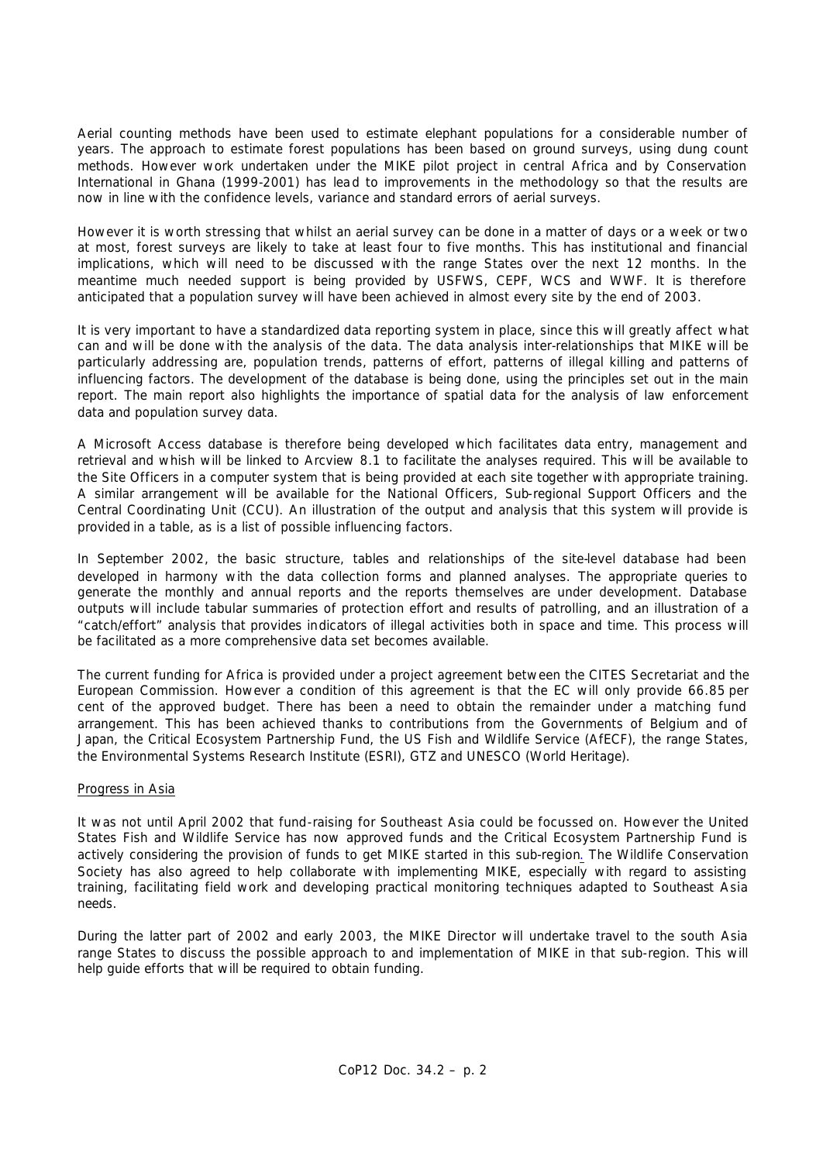Aerial counting methods have been used to estimate elephant populations for a considerable number of years. The approach to estimate forest populations has been based on ground surveys, using dung count methods. However work undertaken under the MIKE pilot project in central Africa and by Conservation International in Ghana (1999-2001) has lead to improvements in the methodology so that the results are now in line with the confidence levels, variance and standard errors of aerial surveys.

However it is worth stressing that whilst an aerial survey can be done in a matter of days or a week or two at most, forest surveys are likely to take at least four to five months. This has institutional and financial implications, which will need to be discussed with the range States over the next 12 months. In the meantime much needed support is being provided by USFWS, CEPF, WCS and WWF. It is therefore anticipated that a population survey will have been achieved in almost every site by the end of 2003.

It is very important to have a standardized data reporting system in place, since this will greatly affect what can and will be done with the analysis of the data. The data analysis inter-relationships that MIKE will be particularly addressing are, population trends, patterns of effort, patterns of illegal killing and patterns of influencing factors. The development of the database is being done, using the principles set out in the main report. The main report also highlights the importance of spatial data for the analysis of law enforcement data and population survey data.

A Microsoft Access database is therefore being developed which facilitates data entry, management and retrieval and whish will be linked to Arcview 8.1 to facilitate the analyses required. This will be available to the Site Officers in a computer system that is being provided at each site together with appropriate training. A similar arrangement will be available for the National Officers, Sub-regional Support Officers and the Central Coordinating Unit (CCU). An illustration of the output and analysis that this system will provide is provided in a table, as is a list of possible influencing factors.

In September 2002, the basic structure, tables and relationships of the site-level database had been developed in harmony with the data collection forms and planned analyses. The appropriate queries to generate the monthly and annual reports and the reports themselves are under development. Database outputs will include tabular summaries of protection effort and results of patrolling, and an illustration of a "catch/effort" analysis that provides indicators of illegal activities both in space and time. This process will be facilitated as a more comprehensive data set becomes available.

The current funding for Africa is provided under a project agreement between the CITES Secretariat and the European Commission. However a condition of this agreement is that the EC will only provide 66.85 per cent of the approved budget. There has been a need to obtain the remainder under a matching fund arrangement. This has been achieved thanks to contributions from the Governments of Belgium and of Japan, the Critical Ecosystem Partnership Fund, the US Fish and Wildlife Service (AfECF), the range States, the Environmental Systems Research Institute (ESRI), GTZ and UNESCO (World Heritage).

## Progress in Asia

It was not until April 2002 that fund-raising for Southeast Asia could be focussed on. However the United States Fish and Wildlife Service has now approved funds and the Critical Ecosystem Partnership Fund is actively considering the provision of funds to get MIKE started in this sub-region*.* The Wildlife Conservation Society has also agreed to help collaborate with implementing MIKE, especially with regard to assisting training, facilitating field work and developing practical monitoring techniques adapted to Southeast Asia needs.

During the latter part of 2002 and early 2003, the MIKE Director will undertake travel to the south Asia range States to discuss the possible approach to and implementation of MIKE in that sub-region. This will help guide efforts that will be required to obtain funding.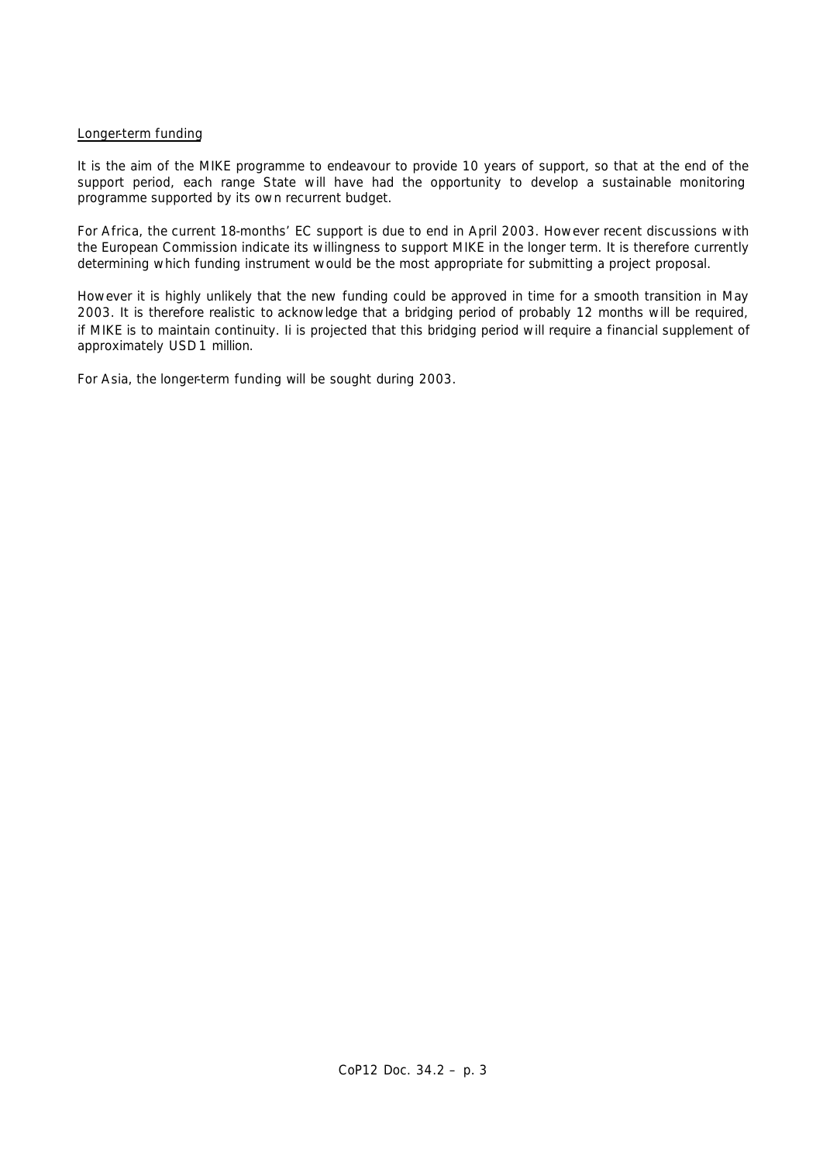## Longer-term funding

It is the aim of the MIKE programme to endeavour to provide 10 years of support, so that at the end of the support period, each range State will have had the opportunity to develop a sustainable monitoring programme supported by its own recurrent budget.

For Africa, the current 18-months' EC support is due to end in April 2003. However recent discussions with the European Commission indicate its willingness to support MIKE in the longer term. It is therefore currently determining which funding instrument would be the most appropriate for submitting a project proposal.

However it is highly unlikely that the new funding could be approved in time for a smooth transition in May 2003. It is therefore realistic to acknowledge that a bridging period of probably 12 months will be required, if MIKE is to maintain continuity. Ii is projected that this bridging period will require a financial supplement of approximately USD 1 million.

For Asia, the longer-term funding will be sought during 2003.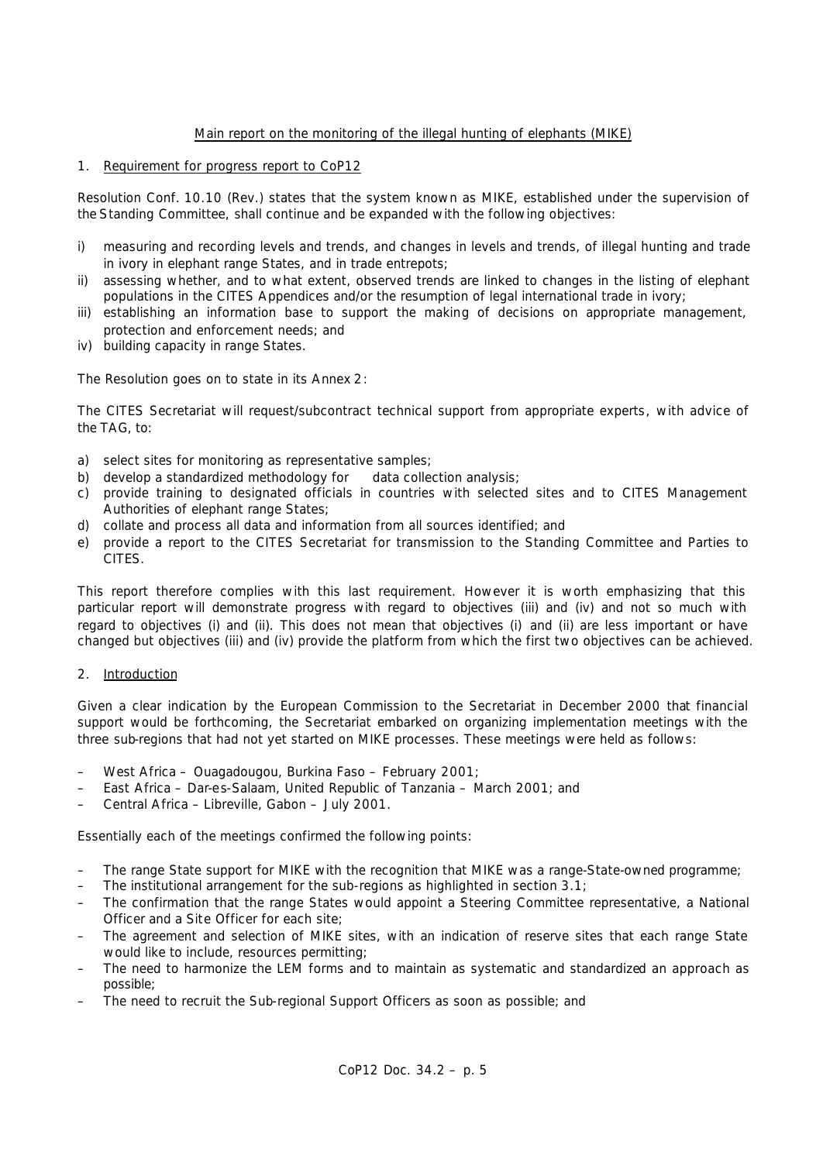## Main report on the monitoring of the illegal hunting of elephants (MIKE)

## 1. Requirement for progress report to CoP12

Resolution Conf. 10.10 (Rev.) states that the system known as MIKE, established under the supervision of the Standing Committee, shall continue and be expanded with the following objectives:

- *i) measuring and recording levels and trends, and changes in levels and trends, of illegal hunting and trade in ivory in elephant range States, and in trade entrepots;*
- *ii) assessing whether, and to what extent, observed trends are linked to changes in the listing of elephant populations in the CITES Appendices and/or the resumption of legal international trade in ivory;*
- *iii) establishing an information base to support the making of decisions on appropriate management, protection and enforcement needs; and*
- *iv) building capacity in range States.*

The Resolution goes on to state in its Annex 2:

*The CITES Secretariat will request/subcontract technical support from appropriate experts, with advice of the TAG, to:*

- *a) select sites for monitoring as representative samples;*
- *b) develop a standardized methodology for data collection analysis;*
- *c) provide training to designated officials in countries with selected sites and to CITES Management Authorities of elephant range States;*
- *d) collate and process all data and information from all sources identified; and*
- *e) provide a report to the CITES Secretariat for transmission to the Standing Committee and Parties to CITES.*

This report therefore complies with this last requirement. However it is worth emphasizing that this particular report will demonstrate progress with regard to objectives (iii) and (iv) and not so much with regard to objectives (i) and (ii). This does not mean that objectives (i) and (ii) are less important or have changed but objectives (iii) and (iv) provide the platform from which the first two objectives can be achieved.

2. Introduction

Given a clear indication by the European Commission to the Secretariat in December 2000 that financial support would be forthcoming, the Secretariat embarked on organizing implementation meetings with the three sub-regions that had not yet started on MIKE processes. These meetings were held as follows:

- West Africa Ouagadougou, Burkina Faso February 2001;
- East Africa Dar-es-Salaam, United Republic of Tanzania March 2001; and
- Central Africa Libreville, Gabon July 2001.

Essentially each of the meetings confirmed the following points:

- The range State support for MIKE with the recognition that MIKE was a range-State-owned programme;
- The institutional arrangement for the sub-regions as highlighted in section 3.1;
- The confirmation that the range States would appoint a Steering Committee representative, a National Officer and a Site Officer for each site;
- The agreement and selection of MIKE sites, with an indication of reserve sites that each range State would like to include, resources permitting;
- The need to harmonize the LEM forms and to maintain as systematic and standardized an approach as possible;
- The need to recruit the Sub-regional Support Officers as soon as possible; and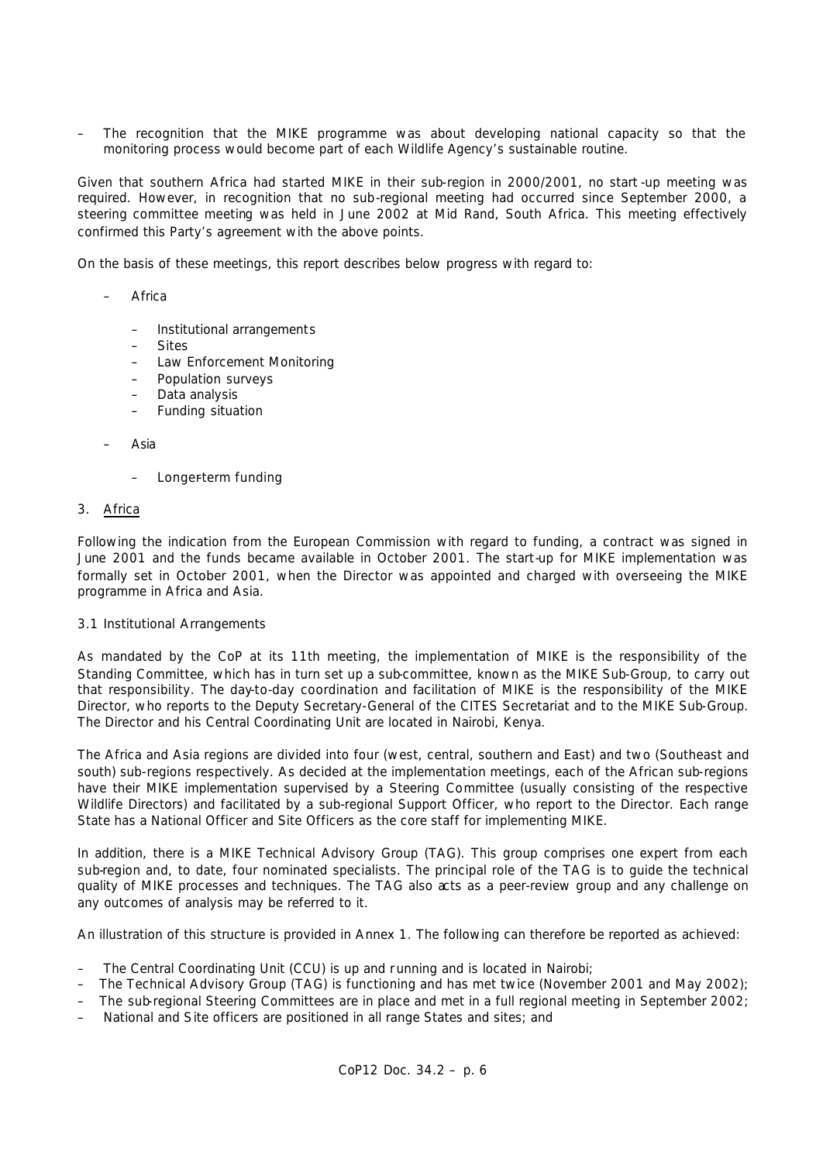– The recognition that the MIKE programme was about developing national capacity so that the monitoring process would become part of each Wildlife Agency's sustainable routine.

Given that southern Africa had started MIKE in their sub-region in 2000/2001, no start -up meeting was required. However, in recognition that no sub-regional meeting had occurred since September 2000, a steering committee meeting was held in June 2002 at Mid Rand, South Africa. This meeting effectively confirmed this Party's agreement with the above points.

On the basis of these meetings, this report describes below progress with regard to:

- **Africa** 
	- Institutional arrangements
	- Sites
	- Law Enforcement Monitoring
	- Population surveys
	- Data analysis
	- Funding situation

### – Asia

– Longer-term funding

### 3. Africa

Following the indication from the European Commission with regard to funding, a contract was signed in June 2001 and the funds became available in October 2001. The start-up for MIKE implementation was formally set in October 2001, when the Director was appointed and charged with overseeing the MIKE programme in Africa and Asia.

### 3.1 Institutional Arrangements

As mandated by the CoP at its 11th meeting, the implementation of MIKE is the responsibility of the Standing Committee, which has in turn set up a sub-committee, known as the MIKE Sub-Group, to carry out that responsibility. The day-to-day coordination and facilitation of MIKE is the responsibility of the MIKE Director, who reports to the Deputy Secretary-General of the CITES Secretariat and to the MIKE Sub-Group. The Director and his Central Coordinating Unit are located in Nairobi, Kenya.

The Africa and Asia regions are divided into four (west, central, southern and East) and two (Southeast and south) sub-regions respectively. As decided at the implementation meetings, each of the African sub-regions have their MIKE implementation supervised by a Steering Committee (usually consisting of the respective Wildlife Directors) and facilitated by a sub-regional Support Officer, who report to the Director. Each range State has a National Officer and Site Officers as the core staff for implementing MIKE.

In addition, there is a MIKE Technical Advisory Group (TAG). This group comprises one expert from each sub-region and, to date, four nominated specialists. The principal role of the TAG is to quide the technical quality of MIKE processes and techniques. The TAG also acts as a peer-review group and any challenge on any outcomes of analysis may be referred to it.

An illustration of this structure is provided in Annex 1. The following can therefore be reported as achieved:

- The Central Coordinating Unit (CCU) is up and r unning and is located in Nairobi;
- The Technical Advisory Group (TAG) is functioning and has met twice (November 2001 and May 2002);
- The sub-regional Steering Committees are in place and met in a full regional meeting in September 2002;
- National and Site officers are positioned in all range States and sites; and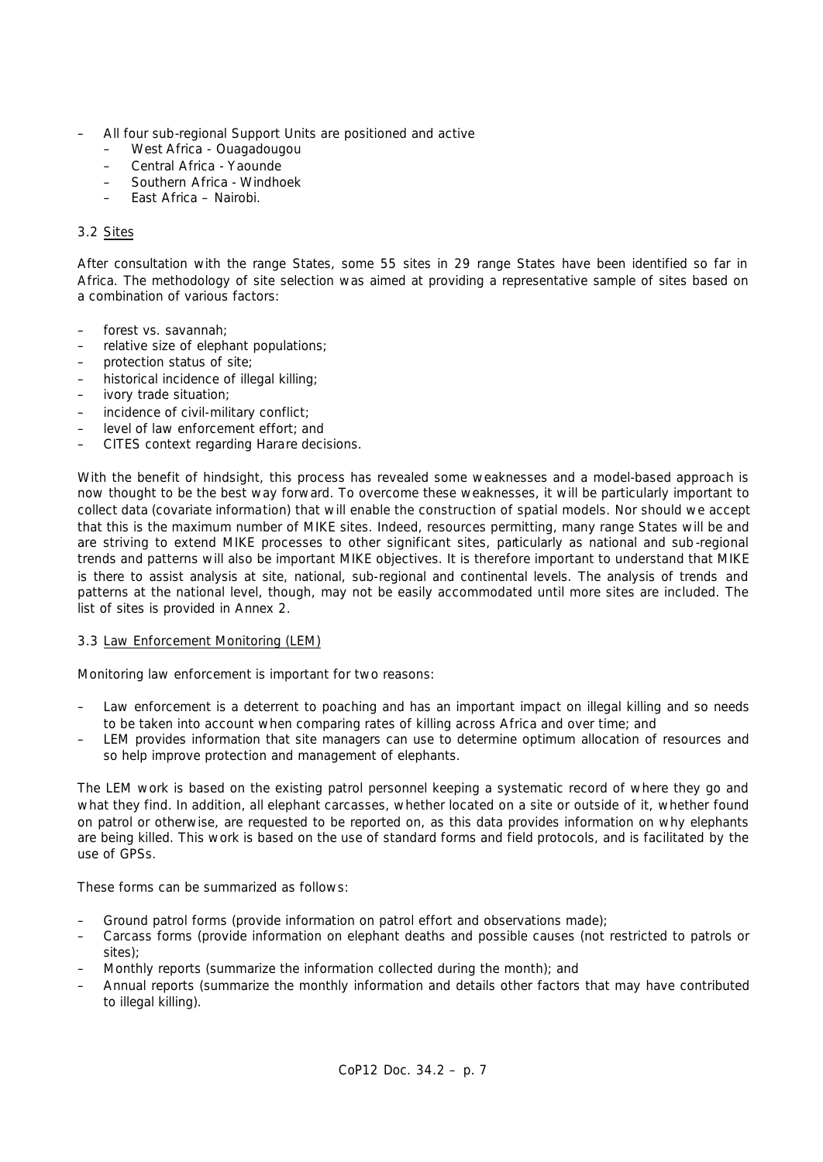- All four sub-regional Support Units are positioned and active
	- West Africa Ouagadougou
	- Central Africa Yaounde
	- Southern Africa Windhoek
	- East Africa Nairobi.

## 3.2 Sites

After consultation with the range States, some 55 sites in 29 range States have been identified so far in Africa. The methodology of site selection was aimed at providing a representative sample of sites based on a combination of various factors:

- forest vs. savannah;
- relative size of elephant populations;
- protection status of site;
- historical incidence of illegal killing;
- ivory trade situation;
- incidence of civil-military conflict;
- level of law enforcement effort; and
- CITES context regarding Harare decisions.

With the benefit of hindsight, this process has revealed some weaknesses and a model-based approach is now thought to be the best way forward. To overcome these weaknesses, it will be particularly important to collect data (covariate information) that will enable the construction of spatial models. Nor should we accept that this is the maximum number of MIKE sites. Indeed, resources permitting, many range States will be and are striving to extend MIKE processes to other significant sites, particularly as national and sub -regional trends and patterns will also be important MIKE objectives. It is therefore important to understand that MIKE is there to assist analysis at site, national, sub-regional and continental levels. The analysis of trends and patterns at the national level, though, may not be easily accommodated until more sites are included. The list of sites is provided in Annex 2.

## 3.3 Law Enforcement Monitoring (LEM)

Monitoring law enforcement is important for two reasons:

- Law enforcement is a deterrent to poaching and has an important impact on illegal killing and so needs to be taken into account when comparing rates of killing across Africa and over time; and
- LEM provides information that site managers can use to determine optimum allocation of resources and so help improve protection and management of elephants.

The LEM work is based on the existing patrol personnel keeping a systematic record of where they go and what they find. In addition, all elephant carcasses, whether located on a site or outside of it, whether found on patrol or otherwise, are requested to be reported on, as this data provides information on why elephants are being killed. This work is based on the use of standard forms and field protocols, and is facilitated by the use of GPSs.

These forms can be summarized as follows:

- Ground patrol forms (provide information on patrol effort and observations made);
- Carcass forms (provide information on elephant deaths and possible causes (not restricted to patrols or sites);
- Monthly reports (summarize the information collected during the month); and
- Annual reports (summarize the monthly information and details other factors that may have contributed to illegal killing).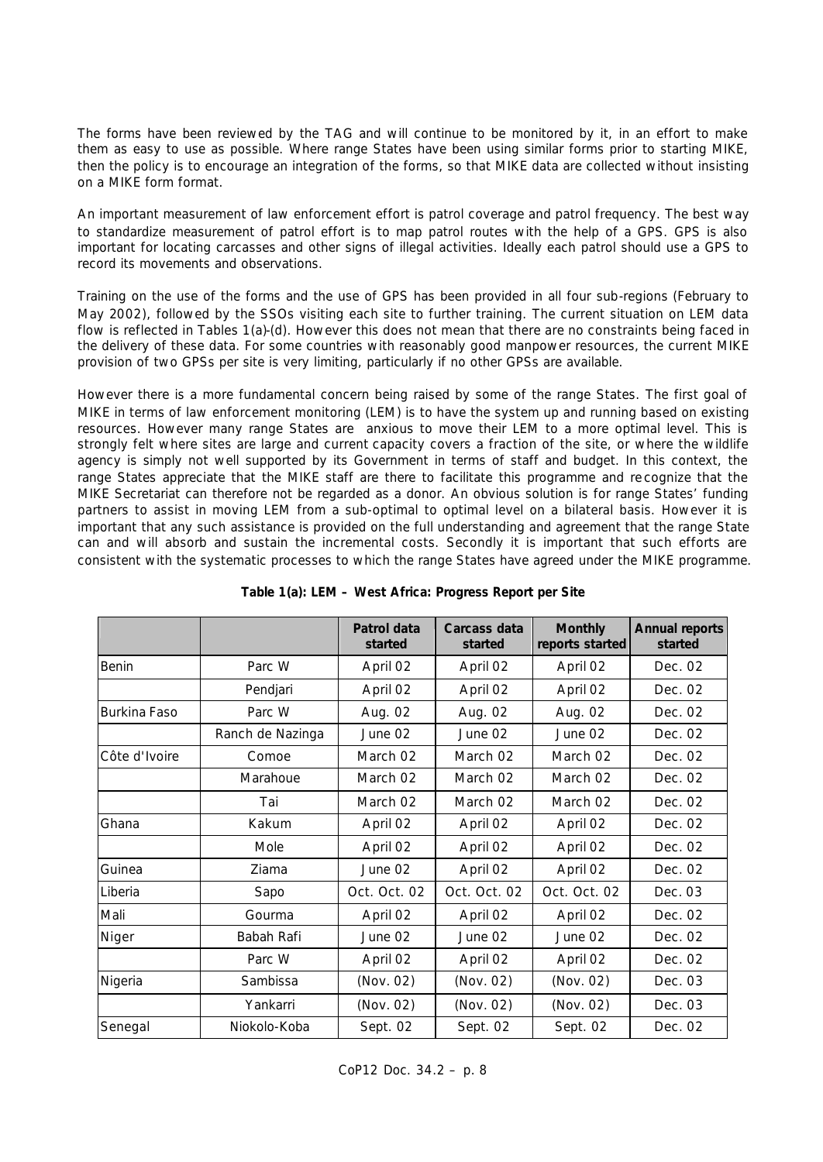The forms have been reviewed by the TAG and will continue to be monitored by it, in an effort to make them as easy to use as possible. Where range States have been using similar forms prior to starting MIKE, then the policy is to encourage an integration of the forms, so that MIKE data are collected without insisting on a MIKE form format.

An important measurement of law enforcement effort is patrol coverage and patrol frequency. The best way to standardize measurement of patrol effort is to map patrol routes with the help of a GPS. GPS is also important for locating carcasses and other signs of illegal activities. Ideally each patrol should use a GPS to record its movements and observations.

Training on the use of the forms and the use of GPS has been provided in all four sub-regions (February to May 2002), followed by the SSOs visiting each site to further training. The current situation on LEM data flow is reflected in Tables 1(a)-(d). However this does not mean that there are no constraints being faced in the delivery of these data. For some countries with reasonably good manpower resources, the current MIKE provision of two GPSs per site is very limiting, particularly if no other GPSs are available.

However there is a more fundamental concern being raised by some of the range States. The first goal of MIKE in terms of law enforcement monitoring (LEM) is to have the system up and running based on existing resources. However many range States are anxious to move their LEM to a more optimal level. This is strongly felt where sites are large and current capacity covers a fraction of the site, or where the wildlife agency is simply not well supported by its Government in terms of staff and budget. In this context, the range States appreciate that the MIKE staff are there to facilitate this programme and re cognize that the MIKE Secretariat can therefore not be regarded as a donor. An obvious solution is for range States' funding partners to assist in moving LEM from a sub-optimal to optimal level on a bilateral basis. However it is important that any such assistance is provided on the full understanding and agreement that the range State can and will absorb and sustain the incremental costs. Secondly it is important that such efforts are consistent with the systematic processes to which the range States have agreed under the MIKE programme.

|               |                  | Patrol data<br>started | Carcass data<br>started | <b>Monthly</b><br>reports started | <b>Annual reports</b><br>started |
|---------------|------------------|------------------------|-------------------------|-----------------------------------|----------------------------------|
| Benin         | Parc W           | April 02               | April 02                | April 02                          | Dec. 02                          |
|               | Pendjari         | April 02               | April 02                | April 02                          | Dec. 02                          |
| Burkina Faso  | Parc W           | Aug. 02                | Aug. 02                 | Aug. 02                           | Dec. 02                          |
|               | Ranch de Nazinga | June 02                | June 02                 | June 02                           | Dec. 02                          |
| Côte d'Ivoire | Comoe            | March 02               | March 02                | March 02                          | Dec. 02                          |
|               | Marahoue         | March 02               | March 02                | March 02                          | Dec. 02                          |
|               | Tai              | March 02               | March 02                | March 02                          | Dec. 02                          |
| Ghana         | Kakum            | April 02               | April 02                | April 02                          | Dec. 02                          |
|               | Mole             | April 02               | April 02                | April 02                          | Dec. 02                          |
| Guinea        | Ziama            | June 02                | April 02                | April 02                          | Dec. 02                          |
| Liberia       | Sapo             | Oct. Oct. 02           | Oct. Oct. 02            | Oct. Oct. 02                      | Dec. 03                          |
| Mali          | Gourma           | April 02               | April 02                | April 02                          | Dec. 02                          |
| Niger         | Babah Rafi       | June 02                | June 02                 | June 02                           | Dec. 02                          |
|               | Parc W           | April 02               | April 02                | April 02                          | Dec. 02                          |
| Nigeria       | Sambissa         | (Nov. 02)              | (Nov. 02)               | (Nov. 02)                         | Dec. 03                          |
|               | Yankarri         | (Nov. 02)              | (Nov. 02)               | (Nov. 02)                         | Dec. 03                          |
| Senegal       | Niokolo-Koba     | Sept. 02               | Sept. 02                | Sept. 02                          | Dec. 02                          |

**Table 1(a): LEM – West Africa: Progress Report per Site**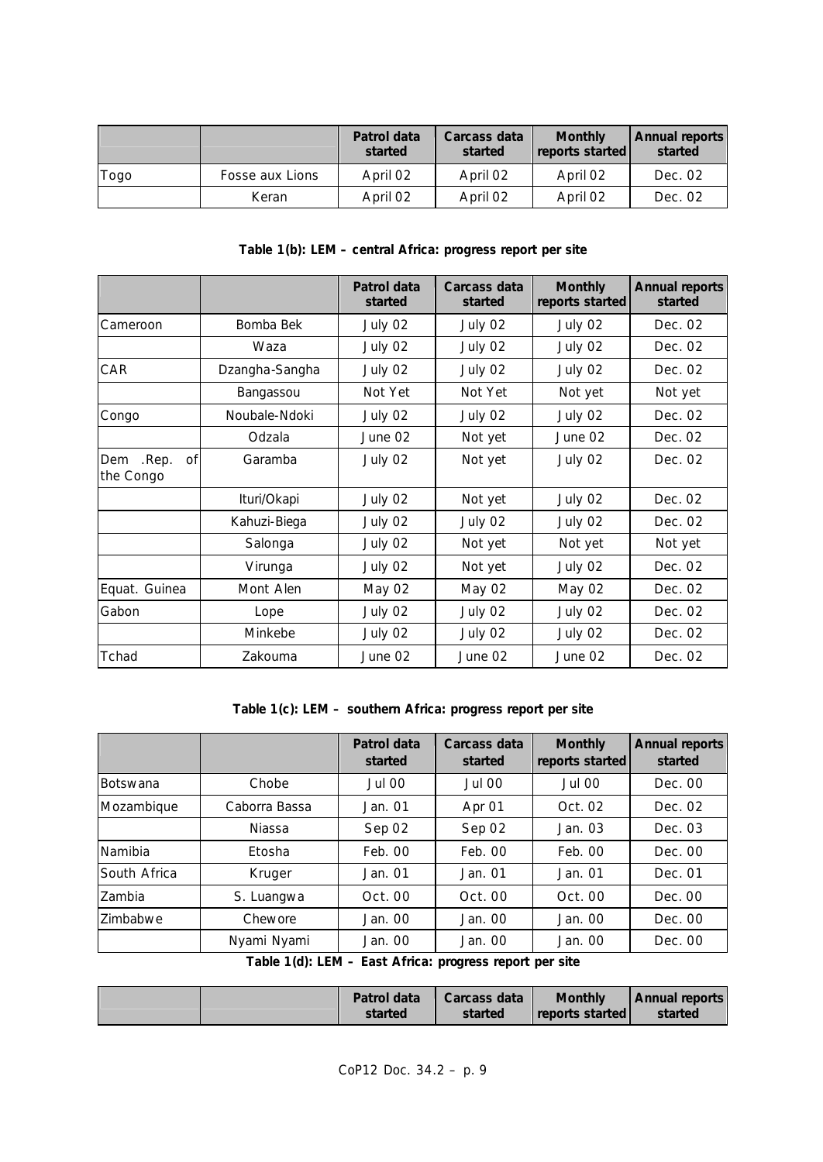|      |                 | Patrol data<br>started | Carcass data<br>started | <b>Monthly</b><br>reports started | <b>Annual reports</b><br>started |
|------|-----------------|------------------------|-------------------------|-----------------------------------|----------------------------------|
| rogo | Fosse aux Lions | April 02               | April 02                | April 02                          | Dec. 02                          |
|      | Keran           | April 02               | April 02                | April 02                          | Dec. 02                          |

## **Table 1(b): LEM – central Africa: progress report per site**

|                                 |                | Patrol data<br>started | Carcass data<br>started | <b>Monthly</b><br>reports started | <b>Annual reports</b><br>started |
|---------------------------------|----------------|------------------------|-------------------------|-----------------------------------|----------------------------------|
| Cameroon                        | Bomba Bek      | July 02                | July 02                 | July 02                           | Dec. 02                          |
|                                 | Waza           | July 02                | July 02                 | July 02                           | Dec. 02                          |
| CAR                             | Dzangha-Sangha | July 02                | July 02                 | July 02                           | Dec. 02                          |
|                                 | Bangassou      | Not Yet                | Not Yet                 | Not yet                           | Not yet                          |
| Congo                           | Noubale-Ndoki  | July 02                | July 02                 | July 02                           | Dec. 02                          |
|                                 | Odzala         | June 02                | Not yet                 | June 02                           | Dec. 02                          |
| .Rep.<br>Dem<br>Οf<br>the Congo | Garamba        | July 02                | Not yet                 | July 02                           | Dec. 02                          |
|                                 | Ituri/Okapi    | July 02                | Not yet                 | July 02                           | Dec. 02                          |
|                                 | Kahuzi-Biega   | July 02                | July 02                 | July 02                           | Dec. 02                          |
|                                 | Salonga        | July 02                | Not yet                 | Not yet                           | Not yet                          |
|                                 | Virunga        | July 02                | Not yet                 | July 02                           | Dec. 02                          |
| Equat. Guinea                   | Mont Alen      | May 02                 | May 02                  | May 02                            | Dec. 02                          |
| Gabon                           | Lope           | July 02                | July 02                 | July 02                           | Dec. 02                          |
|                                 | Minkebe        | July 02                | July 02                 | July 02                           | Dec. 02                          |
| Tchad                           | Zakouma        | June 02                | June 02                 | June 02                           | Dec. 02                          |

# **Table 1(c): LEM – southern Africa: progress report per site**

|                 |               | Patrol data<br>started | Carcass data<br>started | <b>Monthly</b><br>reports started | <b>Annual reports</b><br>started |
|-----------------|---------------|------------------------|-------------------------|-----------------------------------|----------------------------------|
| <b>Botswana</b> | Chobe         | Jul 00                 | Jul 00                  | Jul 00                            | Dec. 00                          |
| Mozambique      | Caborra Bassa | Jan. 01                | Apr 01                  | Oct. 02                           | Dec. 02                          |
|                 | <b>Niassa</b> | Sep 02                 | Sep 02                  | Jan. 03                           | Dec. 03                          |
| Namibia         | Etosha        | Feb. 00                | Feb. 00                 | Feb. 00                           | Dec. 00                          |
| South Africa    | Kruger        | Jan. 01                | Jan. 01                 | Jan. 01                           | Dec. 01                          |
| Zambia          | S. Luangwa    | Oct. 00                | Oct. 00                 | Oct. 00                           | Dec. 00                          |
| Zimbabwe        | Chewore       | Jan. 00                | Jan. 00                 | Jan. 00                           | Dec. 00                          |
|                 | Nyami Nyami   | Jan. 00                | Jan. 00                 | Jan. 00                           | Dec. 00                          |

**Table 1(d): LEM – East Africa: progress report per site**

|  | Patrol data | Carcass data | <b>Monthly</b>           | <b>Annual reports</b> |
|--|-------------|--------------|--------------------------|-----------------------|
|  | started     | started      | <b>I</b> reports started | started               |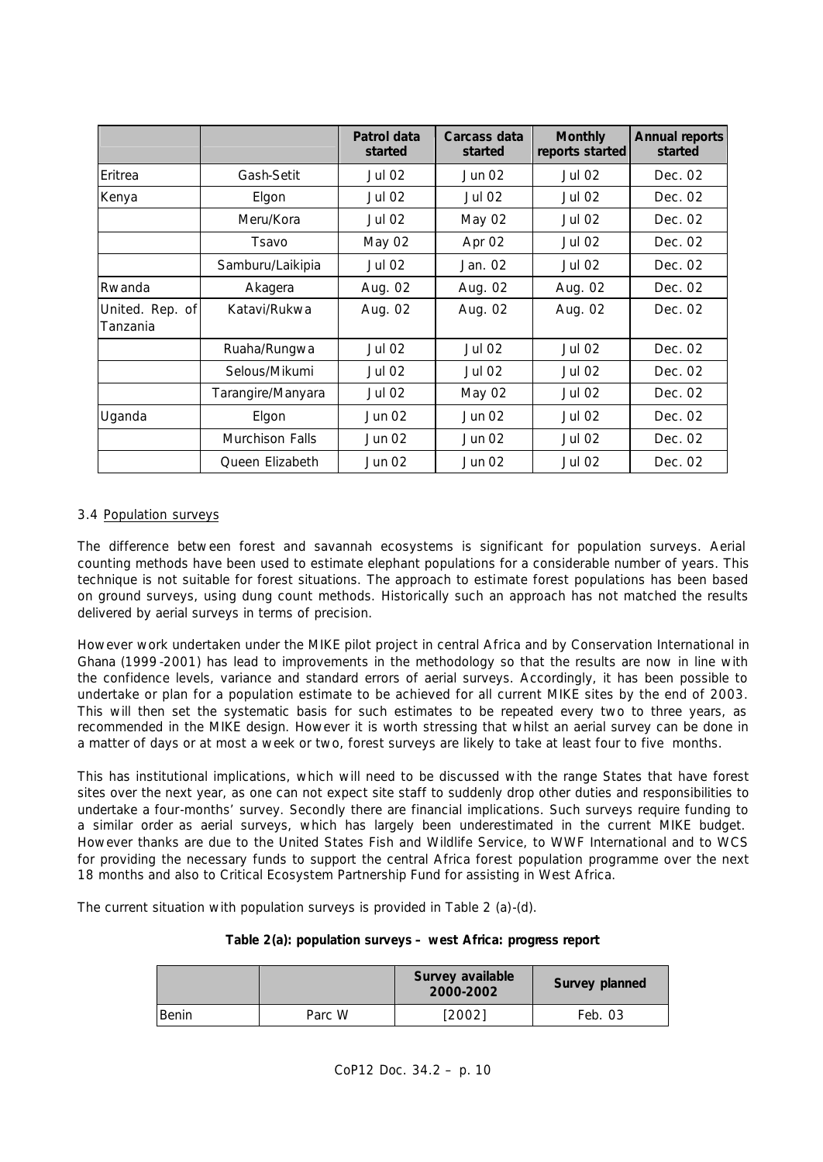|                             |                        | Patrol data<br>started | Carcass data<br>started | <b>Monthly</b><br>reports started | <b>Annual reports</b><br>started |
|-----------------------------|------------------------|------------------------|-------------------------|-----------------------------------|----------------------------------|
| Eritrea                     | Gash-Setit             | <b>Jul 02</b>          | Jun 02                  | <b>Jul 02</b>                     | Dec. 02                          |
| Kenya                       | Elgon                  | <b>Jul 02</b>          | <b>Jul 02</b>           | Jul 02                            | Dec. 02                          |
|                             | Meru/Kora              | Jul 02                 | May 02                  | <b>Jul 02</b>                     | Dec. 02                          |
|                             | Tsavo                  | May 02                 | Apr 02                  | <b>Jul 02</b>                     | Dec. 02                          |
|                             | Samburu/Laikipia       | <b>Jul 02</b>          | Jan. 02                 | <b>Jul 02</b>                     | Dec. 02                          |
| Rwanda                      | Akagera                | Aug. 02                | Aug. 02                 | Aug. 02                           | Dec. 02                          |
| United. Rep. of<br>Tanzania | Katavi/Rukwa           | Aug. 02                | Aug. 02                 | Aug. 02                           | Dec. 02                          |
|                             | Ruaha/Rungwa           | <b>Jul 02</b>          | <b>Jul 02</b>           | Jul 02                            | Dec. 02                          |
|                             | Selous/Mikumi          | Jul 02                 | Jul 02                  | <b>Jul 02</b>                     | Dec. 02                          |
|                             | Tarangire/Manyara      | <b>Jul 02</b>          | May 02                  | Jul 02                            | Dec. 02                          |
| Uganda                      | Elgon                  | Jun 02                 | Jun 02                  | <b>Jul 02</b>                     | Dec. 02                          |
|                             | <b>Murchison Falls</b> | Jun 02                 | Jun 02                  | <b>Jul 02</b>                     | Dec. 02                          |
|                             | Queen Elizabeth        | Jun 02                 | Jun 02                  | Jul 02                            | Dec. 02                          |

## 3.4 Population surveys

The difference between forest and savannah ecosystems is significant for population surveys. Aerial counting methods have been used to estimate elephant populations for a considerable number of years. This technique is not suitable for forest situations. The approach to estimate forest populations has been based on ground surveys, using dung count methods. Historically such an approach has not matched the results delivered by aerial surveys in terms of precision.

However work undertaken under the MIKE pilot project in central Africa and by Conservation International in Ghana (1999-2001) has lead to improvements in the methodology so that the results are now in line with the confidence levels, variance and standard errors of aerial surveys. Accordingly, it has been possible to undertake or plan for a population estimate to be achieved for all current MIKE sites by the end of 2003. This will then set the systematic basis for such estimates to be repeated every two to three years, as recommended in the MIKE design. However it is worth stressing that whilst an aerial survey can be done in a matter of days or at most a week or two, forest surveys are likely to take at least four to five months.

This has institutional implications, which will need to be discussed with the range States that have forest sites over the next year, as one can not expect site staff to suddenly drop other duties and responsibilities to undertake a four-months' survey. Secondly there are financial implications. Such surveys require funding to a similar order as aerial surveys, which has largely been underestimated in the current MIKE budget. However thanks are due to the United States Fish and Wildlife Service, to WWF International and to WCS for providing the necessary funds to support the central Africa forest population programme over the next 18 months and also to Critical Ecosystem Partnership Fund for assisting in West Africa.

The current situation with population surveys is provided in Table 2 (a)-(d).

## **Table 2(a): population surveys – west Africa: progress report**

|       |        | Survey available<br>2000-2002 | Survey planned |
|-------|--------|-------------------------------|----------------|
| Benin | Parc W | [2002]                        | Feb. 03        |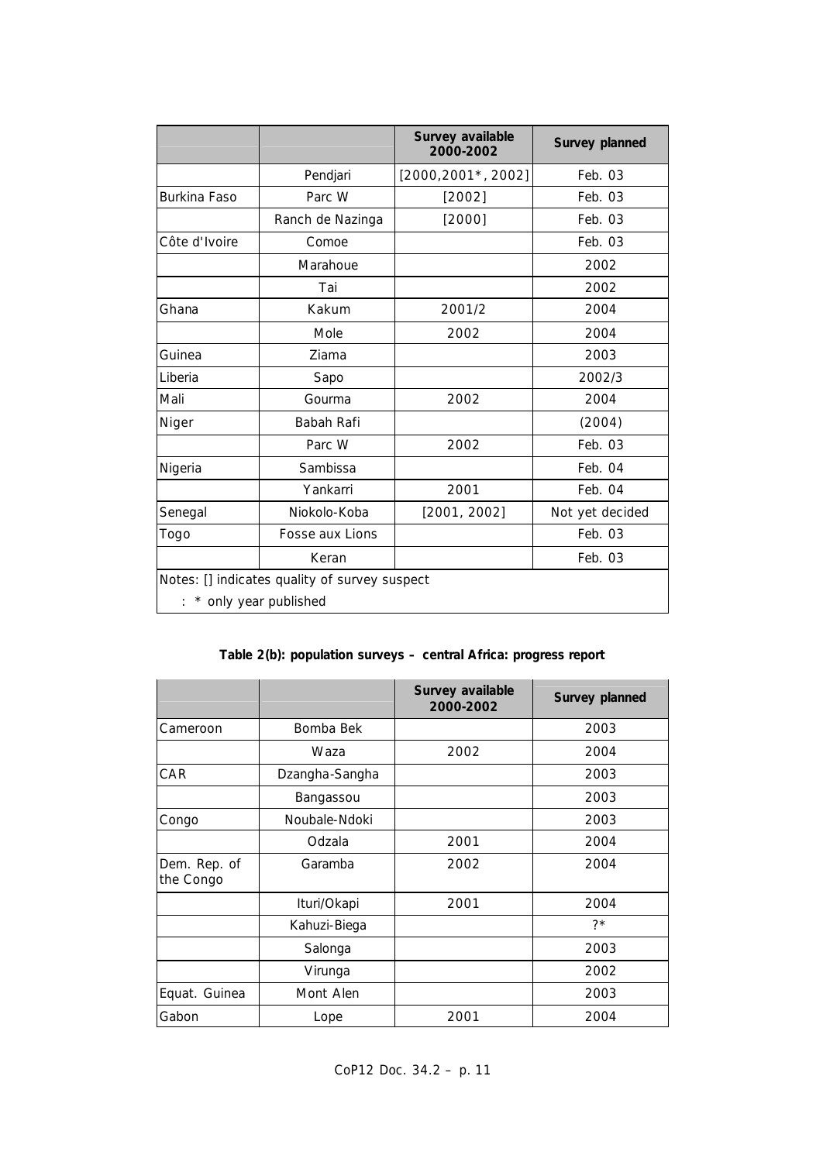|                  |                                               | Survey available<br>2000-2002 | Survey planned  |  |  |
|------------------|-----------------------------------------------|-------------------------------|-----------------|--|--|
|                  | Pendjari                                      | [2000, 2001, 2002]            | Feb. 03         |  |  |
| Burkina Faso     | Parc W                                        | [2002]                        | Feb. 03         |  |  |
|                  | Ranch de Nazinga                              | [2000]                        | Feb. 03         |  |  |
| Côte d'Ivoire    | Comoe                                         |                               | Feb. 03         |  |  |
|                  | Marahoue                                      |                               | 2002            |  |  |
|                  | Tai                                           |                               | 2002            |  |  |
| Ghana            | Kakum                                         | 2001/2                        | 2004            |  |  |
|                  | Mole                                          | 2002                          | 2004            |  |  |
| Guinea           | Ziama                                         |                               | 2003            |  |  |
| Liberia          | Sapo                                          |                               | 2002/3          |  |  |
| Mali             | Gourma                                        | 2002                          | 2004            |  |  |
| Niger            | Babah Rafi                                    |                               | (2004)          |  |  |
|                  | Parc W                                        | 2002                          | Feb. 03         |  |  |
| Nigeria          | Sambissa                                      |                               | Feb. 04         |  |  |
|                  | Yankarri                                      | 2001                          | Feb. 04         |  |  |
| Senegal          | Niokolo-Koba                                  | [2001, 2002]                  | Not yet decided |  |  |
| Togo             | Fosse aux Lions                               |                               | Feb. 03         |  |  |
| Feb. 03<br>Keran |                                               |                               |                 |  |  |
|                  | Notes: [] indicates quality of survey suspect |                               |                 |  |  |
|                  | * only year published                         |                               |                 |  |  |

## **Table 2(b): population surveys – central Africa: progress report**

|                           |                | Survey available<br>2000-2002 | Survey planned |
|---------------------------|----------------|-------------------------------|----------------|
| Cameroon                  | Bomba Bek      |                               | 2003           |
|                           | Waza           | 2002                          | 2004           |
| CAR                       | Dzangha-Sangha |                               | 2003           |
|                           | Bangassou      |                               | 2003           |
| Congo                     | Noubale-Ndoki  |                               | 2003           |
|                           | Odzala         | 2001                          | 2004           |
| Dem. Rep. of<br>the Congo | Garamba        | 2002                          | 2004           |
|                           | Ituri/Okapi    | 2001                          | 2004           |
|                           | Kahuzi-Biega   |                               | $7*$           |
|                           | Salonga        |                               | 2003           |
|                           | Virunga        |                               | 2002           |
| Equat. Guinea             | Mont Alen      |                               | 2003           |
| Gabon                     | Lope           | 2001                          | 2004           |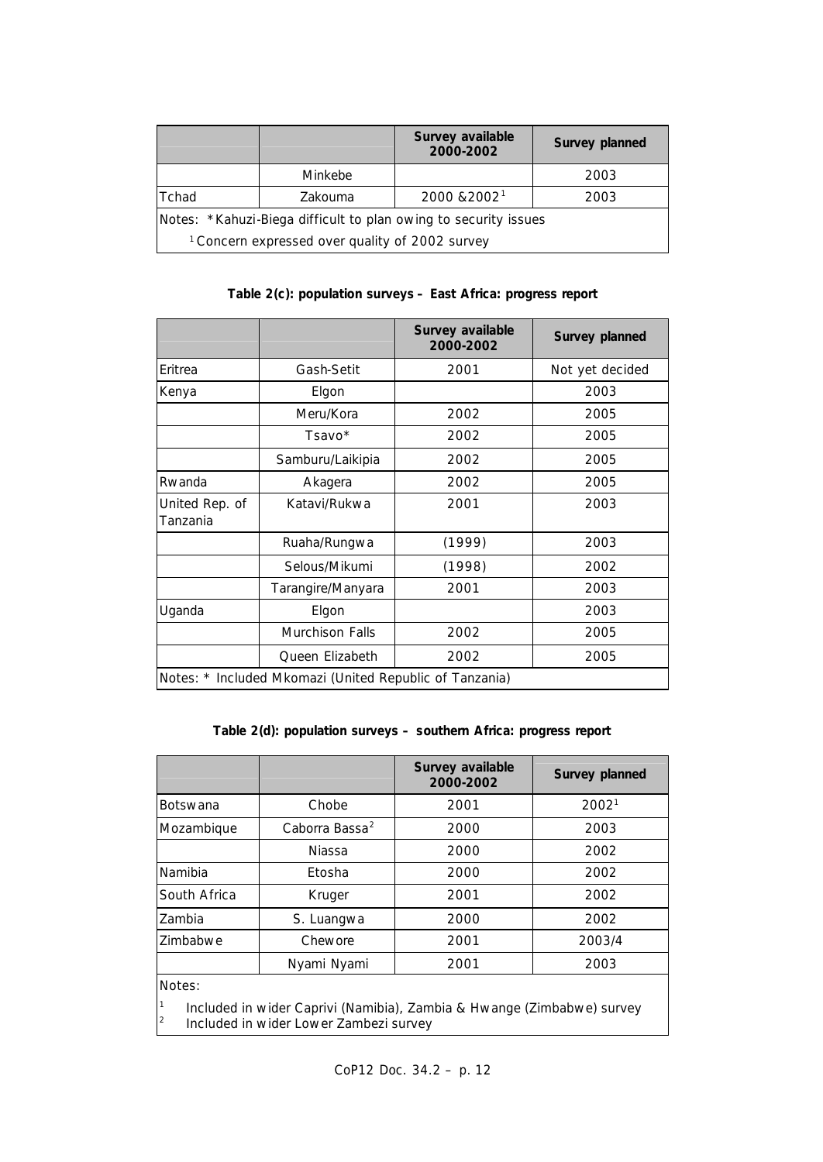|                                                                                                                               |                | Survey available<br>2000-2002 | Survey planned |  |
|-------------------------------------------------------------------------------------------------------------------------------|----------------|-------------------------------|----------------|--|
|                                                                                                                               | <b>Minkebe</b> |                               | 2003           |  |
| Tchad                                                                                                                         | Zakouma        | 2000 & 2002 <sup>1</sup>      | 2003           |  |
| Notes: *Kahuzi-Biega difficult to plan owing to security issues<br><sup>1</sup> Concern expressed over quality of 2002 survey |                |                               |                |  |

# **Table 2(c): population surveys – East Africa: progress report**

|                            |                                                         | Survey available<br>2000-2002 | Survey planned  |
|----------------------------|---------------------------------------------------------|-------------------------------|-----------------|
| Eritrea                    | Gash-Setit                                              | 2001                          | Not yet decided |
| Kenya                      | Elgon                                                   |                               | 2003            |
|                            | Meru/Kora                                               | 2002                          | 2005            |
|                            | Tsavo*                                                  | 2002                          | 2005            |
|                            | Samburu/Laikipia                                        | 2002                          | 2005            |
| Rwanda                     | Akagera                                                 | 2002                          | 2005            |
| United Rep. of<br>Tanzania | Katavi/Rukwa                                            | 2001                          | 2003            |
|                            | Ruaha/Rungwa                                            | (1999)                        | 2003            |
|                            | Selous/Mikumi                                           | (1998)                        | 2002            |
|                            | Tarangire/Manyara                                       | 2001                          | 2003            |
| Uganda                     | Elgon                                                   |                               | 2003            |
|                            | Murchison Falls                                         | 2002                          | 2005            |
|                            | Queen Elizabeth                                         | 2002                          | 2005            |
|                            | Notes: * Included Mkomazi (United Republic of Tanzania) |                               |                 |

# **Table 2(d): population surveys – southern Africa: progress report**

|                                                                                                                            |                             | Survey available<br>2000-2002 | Survey planned    |  |
|----------------------------------------------------------------------------------------------------------------------------|-----------------------------|-------------------------------|-------------------|--|
| Botswana                                                                                                                   | Chobe                       | 2001                          | 2002 <sup>1</sup> |  |
| Mozambique                                                                                                                 | Caborra Bassa <sup>2</sup>  | 2000                          | 2003              |  |
|                                                                                                                            | Niassa                      | 2000                          | 2002              |  |
| Namibia                                                                                                                    | Etosha                      | 2000                          | 2002              |  |
| South Africa                                                                                                               | Kruger                      | 2001                          | 2002              |  |
| Zambia                                                                                                                     | S. Luangwa                  | 2000                          | 2002              |  |
| Zimbabwe                                                                                                                   | Chewore                     | 2001                          | 2003/4            |  |
|                                                                                                                            | Nyami Nyami<br>2001<br>2003 |                               |                   |  |
| Notes:                                                                                                                     |                             |                               |                   |  |
| 1<br>Included in wider Caprivi (Namibia), Zambia & Hwange (Zimbabwe) survey<br>2<br>Included in wider Lower Zambezi survey |                             |                               |                   |  |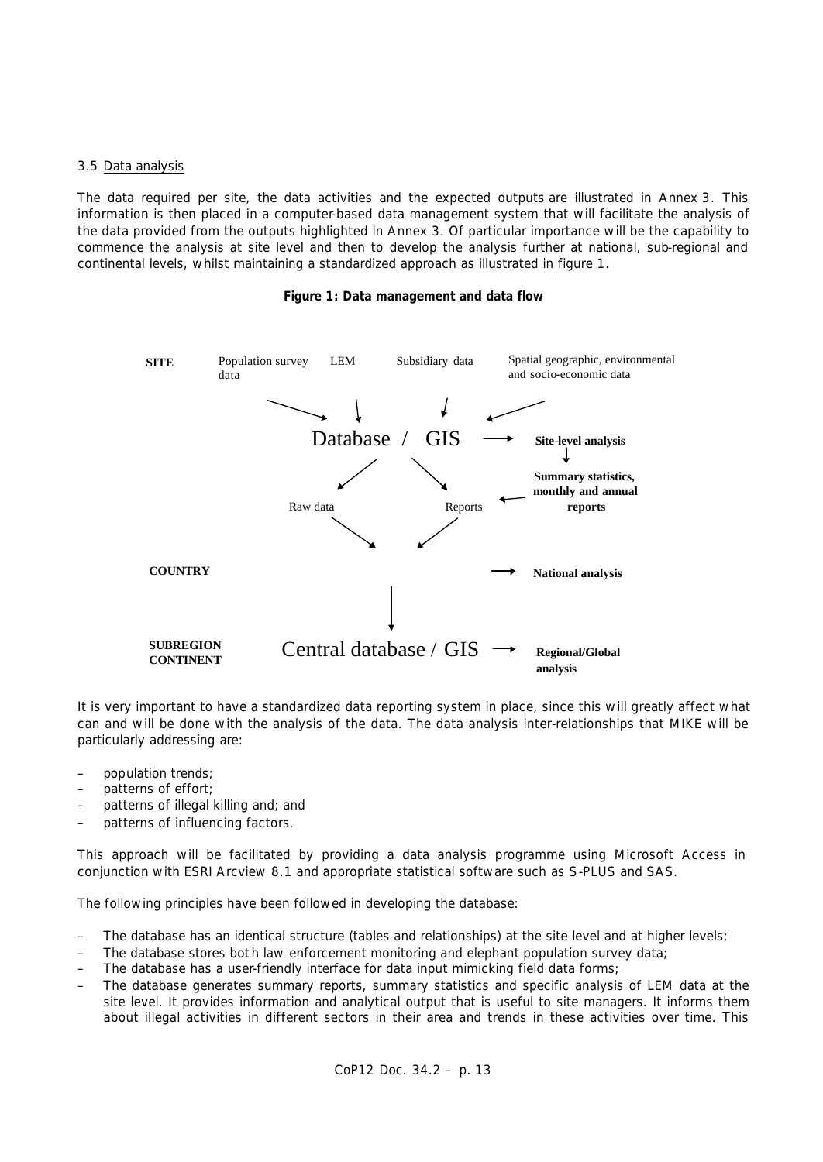### 3.5 Data analysis

The data required per site, the data activities and the expected outputs are illustrated in Annex 3. This information is then placed in a computer-based data management system that will facilitate the analysis of the data provided from the outputs highlighted in Annex 3. Of particular importance will be the capability to commence the analysis at site level and then to develop the analysis further at national, sub-regional and continental levels, whilst maintaining a standardized approach as illustrated in figure 1.

### **Figure 1: Data management and data flow**



It is very important to have a standardized data reporting system in place, since this will greatly affect what can and will be done with the analysis of the data. The data analysis inter-relationships that MIKE will be particularly addressing are:

- population trends;
- patterns of effort;
- patterns of illegal killing and; and
- patterns of influencing factors.

This approach will be facilitated by providing a data analysis programme using Microsoft Access in conjunction with ESRI Arcview 8.1 and appropriate statistical software such as S-PLUS and SAS.

The following principles have been followed in developing the database:

- The database has an identical structure (tables and relationships) at the site level and at higher levels;
- The database stores bot h law enforcement monitoring and elephant population survey data;
- The database has a user-friendly interface for data input mimicking field data forms;
- The database generates summary reports, summary statistics and specific analysis of LEM data at the site level. It provides information and analytical output that is useful to site managers. It informs them about illegal activities in different sectors in their area and trends in these activities over time. This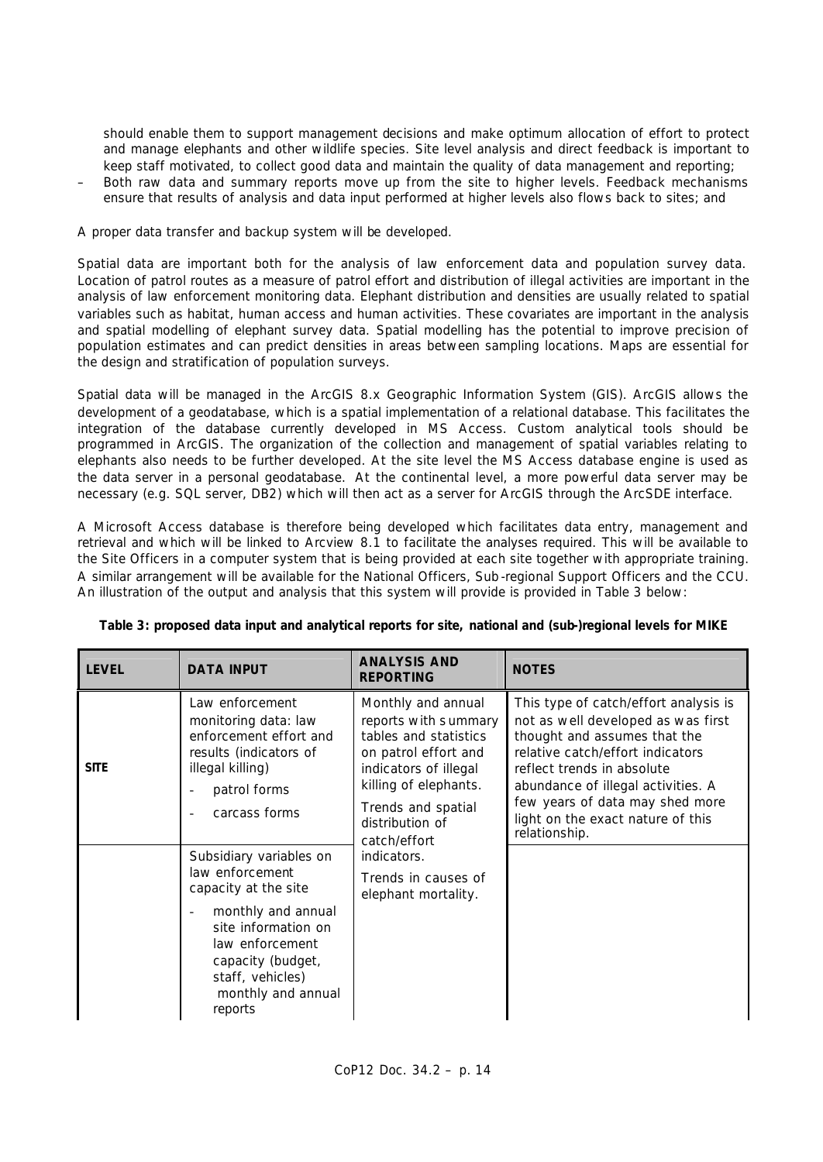should enable them to support management decisions and make optimum allocation of effort to protect and manage elephants and other wildlife species. Site level analysis and direct feedback is important to keep staff motivated, to collect good data and maintain the quality of data management and reporting;

– Both raw data and summary reports move up from the site to higher levels. Feedback mechanisms ensure that results of analysis and data input performed at higher levels also flows back to sites; and

A proper data transfer and backup system will be developed.

Spatial data are important both for the analysis of law enforcement data and population survey data. Location of patrol routes as a measure of patrol effort and distribution of illegal activities are important in the analysis of law enforcement monitoring data. Elephant distribution and densities are usually related to spatial variables such as habitat, human access and human activities. These covariates are important in the analysis and spatial modelling of elephant survey data. Spatial modelling has the potential to improve precision of population estimates and can predict densities in areas between sampling locations. Maps are essential for the design and stratification of population surveys.

Spatial data will be managed in the ArcGIS 8.x Geographic Information System (GIS). ArcGIS allows the development of a geodatabase, which is a spatial implementation of a relational database. This facilitates the integration of the database currently developed in MS Access. Custom analytical tools should be programmed in ArcGIS. The organization of the collection and management of spatial variables relating to elephants also needs to be further developed. At the site level the MS Access database engine is used as the data server in a personal geodatabase. At the continental level, a more powerful data server may be necessary (e.g. SQL server, DB2) which will then act as a server for ArcGIS through the ArcSDE interface.

A Microsoft Access database is therefore being developed which facilitates data entry, management and retrieval and which will be linked to Arcview 8.1 to facilitate the analyses required. This will be available to the Site Officers in a computer system that is being provided at each site together with appropriate training. A similar arrangement will be available for the National Officers, Sub -regional Support Officers and the CCU. An illustration of the output and analysis that this system will provide is provided in Table 3 below:

| <b>LEVEL</b> | <b>DATA INPUT</b>                                                                                                                                                                                            | <b>ANALYSIS AND</b><br><b>REPORTING</b>                                                                                                                                                                                                                             | <b>NOTES</b>                                                                                                                                                                                                                                                                                                 |
|--------------|--------------------------------------------------------------------------------------------------------------------------------------------------------------------------------------------------------------|---------------------------------------------------------------------------------------------------------------------------------------------------------------------------------------------------------------------------------------------------------------------|--------------------------------------------------------------------------------------------------------------------------------------------------------------------------------------------------------------------------------------------------------------------------------------------------------------|
| <b>SITE</b>  | Law enforcement<br>monitoring data: law<br>enforcement effort and<br>results (indicators of<br>illegal killing)<br>patrol forms<br>carcass forms                                                             | Monthly and annual<br>reports with summary<br>tables and statistics<br>on patrol effort and<br>indicators of illegal<br>killing of elephants.<br>Trends and spatial<br>distribution of<br>catch/effort<br>indicators.<br>Trends in causes of<br>elephant mortality. | This type of catch/effort analysis is<br>not as well developed as was first<br>thought and assumes that the<br>relative catch/effort indicators<br>reflect trends in absolute<br>abundance of illegal activities. A<br>few years of data may shed more<br>light on the exact nature of this<br>relationship. |
|              | Subsidiary variables on<br>law enforcement<br>capacity at the site<br>monthly and annual<br>site information on<br>law enforcement<br>capacity (budget,<br>staff, vehicles)<br>monthly and annual<br>reports |                                                                                                                                                                                                                                                                     |                                                                                                                                                                                                                                                                                                              |

## **Table 3: proposed data input and analytical reports for site, national and (sub-)regional levels for MIKE**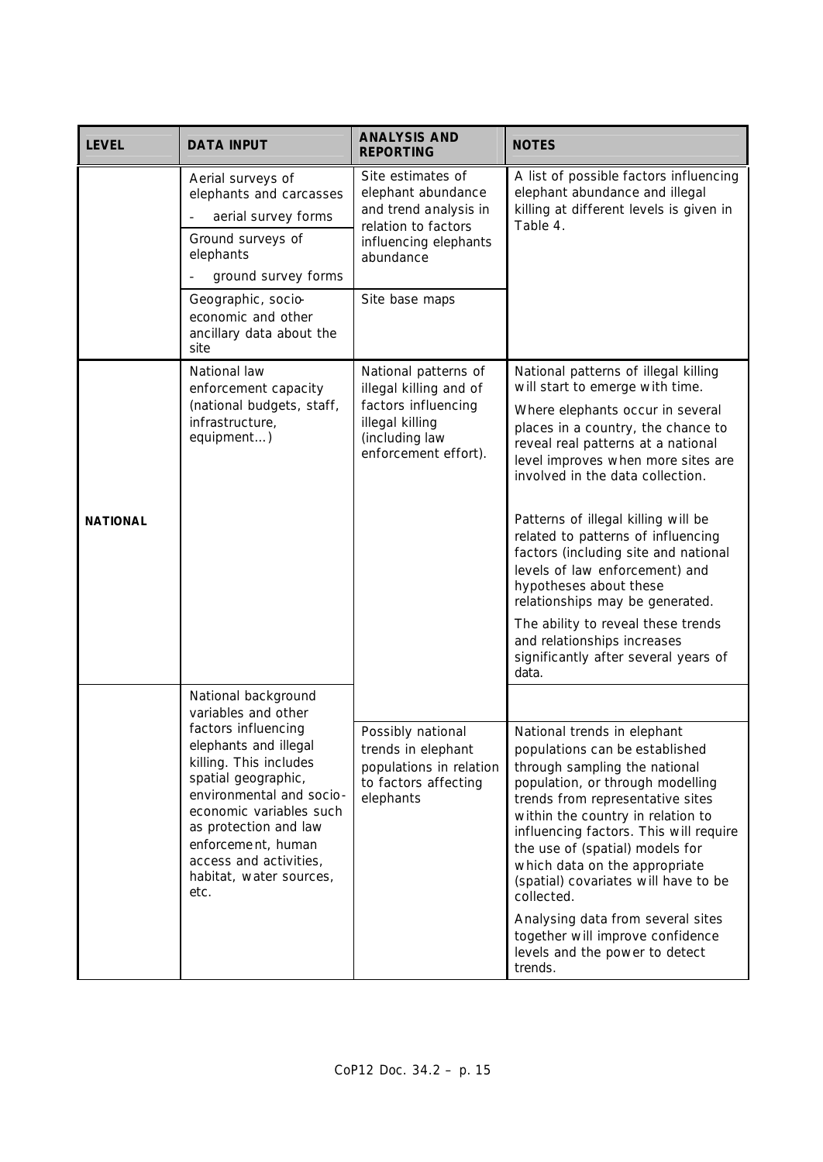| <b>LEVEL</b>    | <b>DATA INPUT</b>                                                                                                                                                                                                                                                                                              | <b>ANALYSIS AND</b><br><b>REPORTING</b>                                                                                                         | <b>NOTES</b>                                                                                                                                                                                                                                                                                                                                                                                                                                                                                                                                                                                                |
|-----------------|----------------------------------------------------------------------------------------------------------------------------------------------------------------------------------------------------------------------------------------------------------------------------------------------------------------|-------------------------------------------------------------------------------------------------------------------------------------------------|-------------------------------------------------------------------------------------------------------------------------------------------------------------------------------------------------------------------------------------------------------------------------------------------------------------------------------------------------------------------------------------------------------------------------------------------------------------------------------------------------------------------------------------------------------------------------------------------------------------|
|                 | Aerial surveys of<br>elephants and carcasses<br>aerial survey forms<br>Ground surveys of<br>elephants<br>ground survey forms<br>Geographic, socio-                                                                                                                                                             | Site estimates of<br>elephant abundance<br>and trend analysis in<br>relation to factors<br>influencing elephants<br>abundance<br>Site base maps | A list of possible factors influencing<br>elephant abundance and illegal<br>killing at different levels is given in<br>Table 4.                                                                                                                                                                                                                                                                                                                                                                                                                                                                             |
|                 | economic and other<br>ancillary data about the<br>site                                                                                                                                                                                                                                                         |                                                                                                                                                 |                                                                                                                                                                                                                                                                                                                                                                                                                                                                                                                                                                                                             |
| <b>NATIONAL</b> | National law<br>enforcement capacity<br>(national budgets, staff,<br>infrastructure,<br>equipment)                                                                                                                                                                                                             | National patterns of<br>illegal killing and of<br>factors influencing<br>illegal killing<br>(including law<br>enforcement effort).              | National patterns of illegal killing<br>will start to emerge with time.<br>Where elephants occur in several<br>places in a country, the chance to<br>reveal real patterns at a national<br>level improves when more sites are<br>involved in the data collection.<br>Patterns of illegal killing will be<br>related to patterns of influencing<br>factors (including site and national<br>levels of law enforcement) and<br>hypotheses about these<br>relationships may be generated.<br>The ability to reveal these trends<br>and relationships increases<br>significantly after several years of<br>data. |
|                 | National background<br>variables and other<br>factors influencing<br>elephants and illegal<br>killing. This includes<br>spatial geographic,<br>environmental and socio-<br>economic variables such<br>as protection and law<br>enforcement, human<br>access and activities,<br>habitat, water sources,<br>etc. | Possibly national<br>trends in elephant<br>populations in relation<br>to factors affecting<br>elephants                                         | National trends in elephant<br>populations can be established<br>through sampling the national<br>population, or through modelling<br>trends from representative sites<br>within the country in relation to<br>influencing factors. This will require<br>the use of (spatial) models for<br>which data on the appropriate<br>(spatial) covariates will have to be<br>collected.<br>Analysing data from several sites<br>together will improve confidence<br>levels and the power to detect<br>trends.                                                                                                       |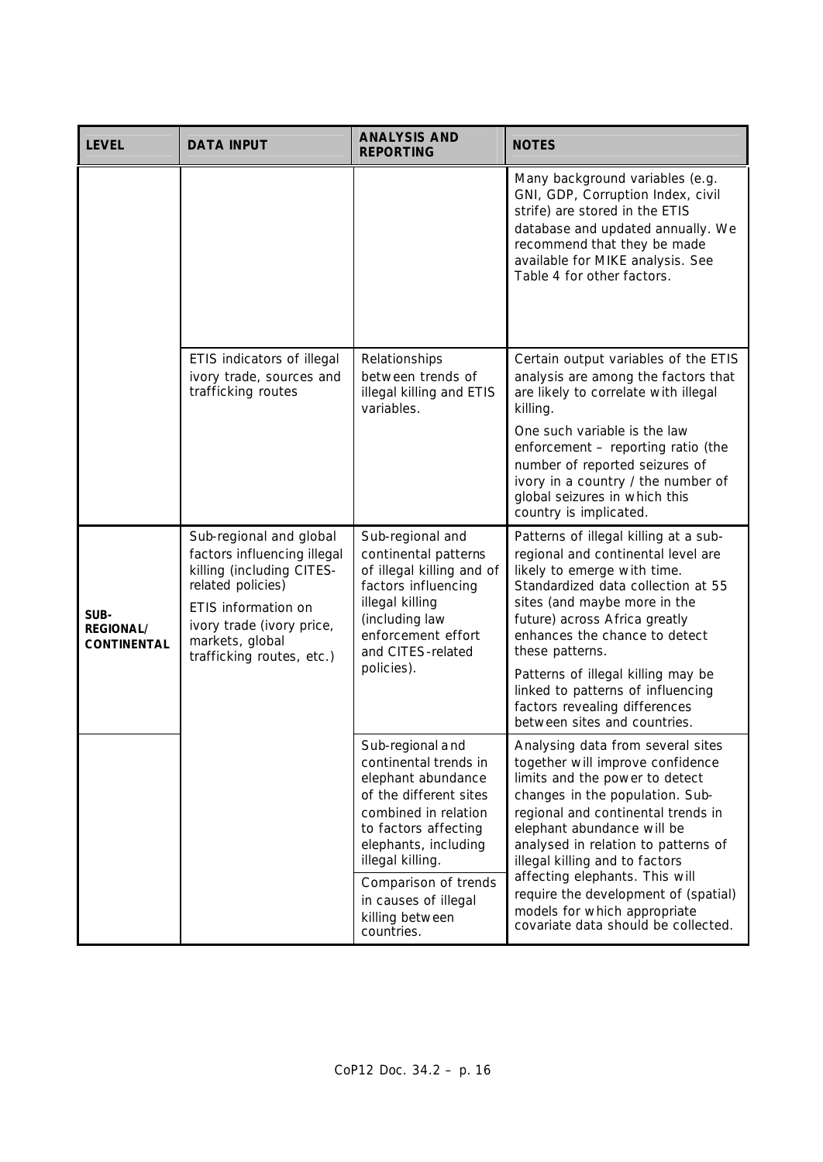| <b>LEVEL</b>                                   | <b>DATA INPUT</b>                                                                                                                                                                                            | <b>ANALYSIS AND</b><br><b>REPORTING</b>                                                                                                                                                                                                                                | <b>NOTES</b>                                                                                                                                                                                                                                                                                                                                                                                                                             |
|------------------------------------------------|--------------------------------------------------------------------------------------------------------------------------------------------------------------------------------------------------------------|------------------------------------------------------------------------------------------------------------------------------------------------------------------------------------------------------------------------------------------------------------------------|------------------------------------------------------------------------------------------------------------------------------------------------------------------------------------------------------------------------------------------------------------------------------------------------------------------------------------------------------------------------------------------------------------------------------------------|
|                                                |                                                                                                                                                                                                              |                                                                                                                                                                                                                                                                        | Many background variables (e.g.<br>GNI, GDP, Corruption Index, civil<br>strife) are stored in the ETIS<br>database and updated annually. We<br>recommend that they be made<br>available for MIKE analysis. See<br>Table 4 for other factors.                                                                                                                                                                                             |
|                                                | ETIS indicators of illegal<br>ivory trade, sources and<br>trafficking routes                                                                                                                                 | Relationships<br>between trends of<br>illegal killing and ETIS<br>variables.                                                                                                                                                                                           | Certain output variables of the ETIS<br>analysis are among the factors that<br>are likely to correlate with illegal<br>killing.<br>One such variable is the law<br>enforcement - reporting ratio (the<br>number of reported seizures of<br>ivory in a country / the number of<br>global seizures in which this<br>country is implicated.                                                                                                 |
| SUB-<br><b>REGIONAL/</b><br><b>CONTINENTAL</b> | Sub-regional and global<br>factors influencing illegal<br>killing (including CITES-<br>related policies)<br>ETIS information on<br>ivory trade (ivory price,<br>markets, global<br>trafficking routes, etc.) | Sub-regional and<br>continental patterns<br>of illegal killing and of<br>factors influencing<br>illegal killing<br>(including law<br>enforcement effort<br>and CITES-related<br>policies).                                                                             | Patterns of illegal killing at a sub-<br>regional and continental level are<br>likely to emerge with time.<br>Standardized data collection at 55<br>sites (and maybe more in the<br>future) across Africa greatly<br>enhances the chance to detect<br>these patterns.<br>Patterns of illegal killing may be<br>linked to patterns of influencing<br>factors revealing differences<br>between sites and countries.                        |
|                                                |                                                                                                                                                                                                              | Sub-regional and<br>continental trends in<br>elephant abundance<br>of the different sites<br>combined in relation<br>to factors affecting<br>elephants, including<br>illegal killing.<br>Comparison of trends<br>in causes of illegal<br>killing between<br>countries. | Analysing data from several sites<br>together will improve confidence<br>limits and the power to detect<br>changes in the population. Sub-<br>regional and continental trends in<br>elephant abundance will be<br>analysed in relation to patterns of<br>illegal killing and to factors<br>affecting elephants. This will<br>require the development of (spatial)<br>models for which appropriate<br>covariate data should be collected. |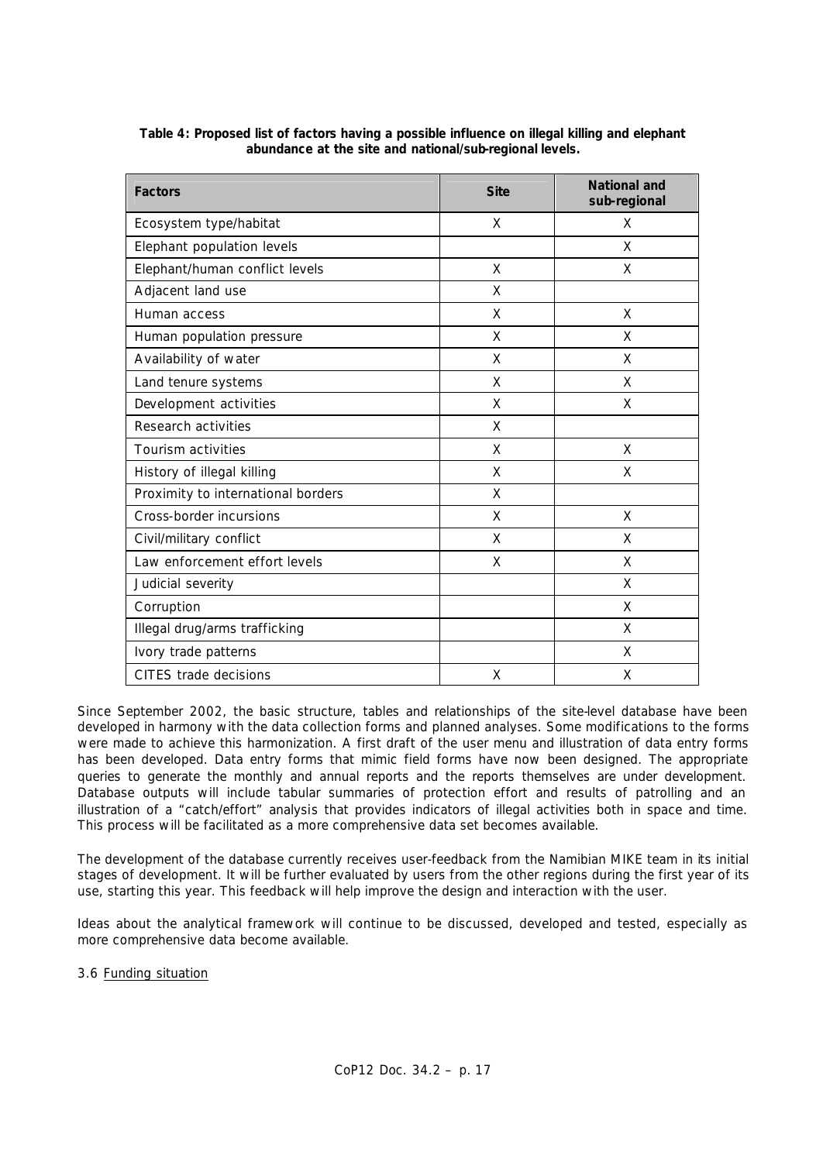| <b>Factors</b>                     | <b>Site</b> | <b>National and</b><br>sub-regional |
|------------------------------------|-------------|-------------------------------------|
| Ecosystem type/habitat             | X           | X                                   |
| Elephant population levels         |             | X                                   |
| Elephant/human conflict levels     | X           | X                                   |
| Adjacent land use                  | X           |                                     |
| Human access                       | X           | X                                   |
| Human population pressure          | X           | X                                   |
| Availability of water              | X           | X                                   |
| Land tenure systems                | X           | X                                   |
| Development activities             | X           | X                                   |
| Research activities                | X           |                                     |
| Tourism activities                 | X           | X                                   |
| History of illegal killing         | X           | X                                   |
| Proximity to international borders | X           |                                     |
| Cross-border incursions            | X           | X                                   |
| Civil/military conflict            | X           | X                                   |
| Law enforcement effort levels      | X           | X                                   |
| Judicial severity                  |             | X                                   |
| Corruption                         |             | X                                   |
| Illegal drug/arms trafficking      |             | X                                   |
| Ivory trade patterns               |             | X                                   |
| CITES trade decisions              | X           | X                                   |

**Table 4: Proposed list of factors having a possible influence on illegal killing and elephant abundance at the site and national/sub-regional levels.**

Since September 2002, the basic structure, tables and relationships of the site-level database have been developed in harmony with the data collection forms and planned analyses. Some modifications to the forms were made to achieve this harmonization. A first draft of the user menu and illustration of data entry forms has been developed. Data entry forms that mimic field forms have now been designed. The appropriate queries to generate the monthly and annual reports and the reports themselves are under development. Database outputs will include tabular summaries of protection effort and results of patrolling and an illustration of a "catch/effort" analysis that provides indicators of illegal activities both in space and time. This process will be facilitated as a more comprehensive data set becomes available.

The development of the database currently receives user-feedback from the Namibian MIKE team in its initial stages of development. It will be further evaluated by users from the other regions during the first year of its use, starting this year. This feedback will help improve the design and interaction with the user.

Ideas about the analytical framework will continue to be discussed, developed and tested, especially as more comprehensive data become available.

3.6 Funding situation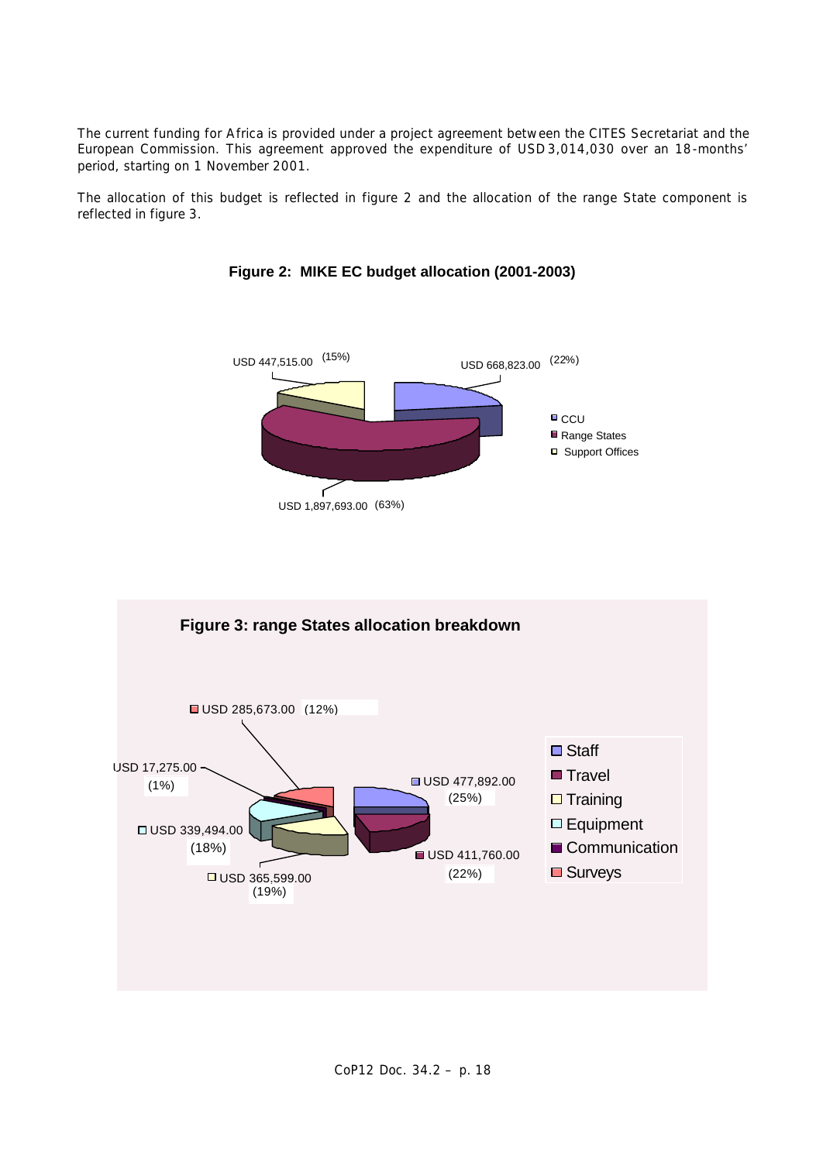The current funding for Africa is provided under a project agreement between the CITES Secretariat and the European Commission. This agreement approved the expenditure of USD 3,014,030 over an 18-months' period, starting on 1 November 2001.

The allocation of this budget is reflected in figure 2 and the allocation of the range State component is reflected in figure 3.



**Figure 2: MIKE EC budget allocation (2001-2003)**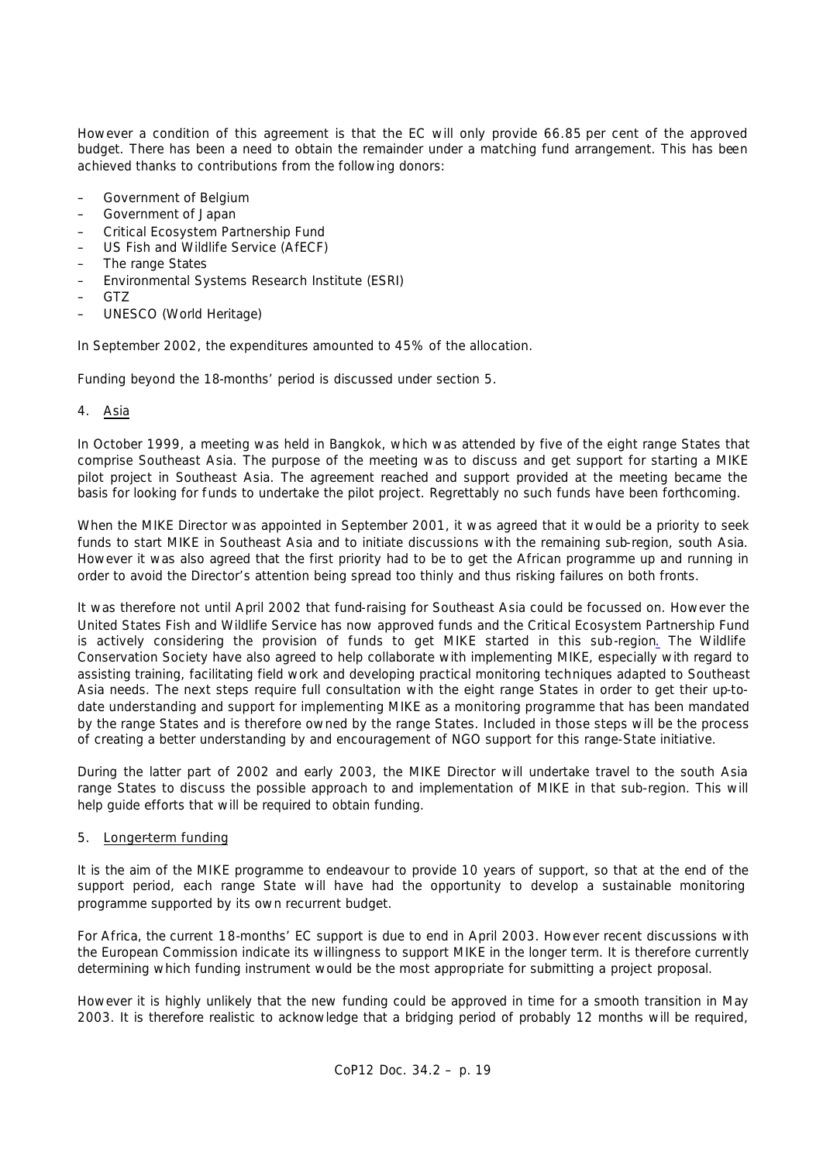However a condition of this agreement is that the EC will only provide 66.85 per cent of the approved budget. There has been a need to obtain the remainder under a matching fund arrangement. This has been achieved thanks to contributions from the following donors:

- Government of Belgium
- Government of Japan
- Critical Ecosystem Partnership Fund
- US Fish and Wildlife Service (AfECF)
- The range States
- Environmental Systems Research Institute (ESRI)
- GTZ
- UNESCO (World Heritage)

In September 2002, the expenditures amounted to 45% of the allocation.

Funding beyond the 18-months' period is discussed under section 5.

### 4. Asia

In October 1999, a meeting was held in Bangkok, which was attended by five of the eight range States that comprise Southeast Asia. The purpose of the meeting was to discuss and get support for starting a MIKE pilot project in Southeast Asia. The agreement reached and support provided at the meeting became the basis for looking for funds to undertake the pilot project. Regrettably no such funds have been forthcoming.

When the MIKE Director was appointed in September 2001, it was agreed that it would be a priority to seek funds to start MIKE in Southeast Asia and to initiate discussions with the remaining sub-region, south Asia. However it was also agreed that the first priority had to be to get the African programme up and running in order to avoid the Director's attention being spread too thinly and thus risking failures on both fronts.

It was therefore not until April 2002 that fund-raising for Southeast Asia could be focussed on. However the United States Fish and Wildlife Service has now approved funds and the Critical Ecosystem Partnership Fund is actively considering the provision of funds to get MIKE started in this sub-region*.* The Wildlife Conservation Society have also agreed to help collaborate with implementing MIKE, especially with regard to assisting training, facilitating field work and developing practical monitoring techniques adapted to Southeast Asia needs. The next steps require full consultation with the eight range States in order to get their up-todate understanding and support for implementing MIKE as a monitoring programme that has been mandated by the range States and is therefore owned by the range States. Included in those steps will be the process of creating a better understanding by and encouragement of NGO support for this range-State initiative.

During the latter part of 2002 and early 2003, the MIKE Director will undertake travel to the south Asia range States to discuss the possible approach to and implementation of MIKE in that sub-region. This will help guide efforts that will be required to obtain funding.

### 5. Longer-term funding

It is the aim of the MIKE programme to endeavour to provide 10 years of support, so that at the end of the support period, each range State will have had the opportunity to develop a sustainable monitoring programme supported by its own recurrent budget.

For Africa, the current 18-months' EC support is due to end in April 2003. However recent discussions with the European Commission indicate its willingness to support MIKE in the longer term. It is therefore currently determining which funding instrument would be the most appropriate for submitting a project proposal.

However it is highly unlikely that the new funding could be approved in time for a smooth transition in May 2003. It is therefore realistic to acknowledge that a bridging period of probably 12 months will be required,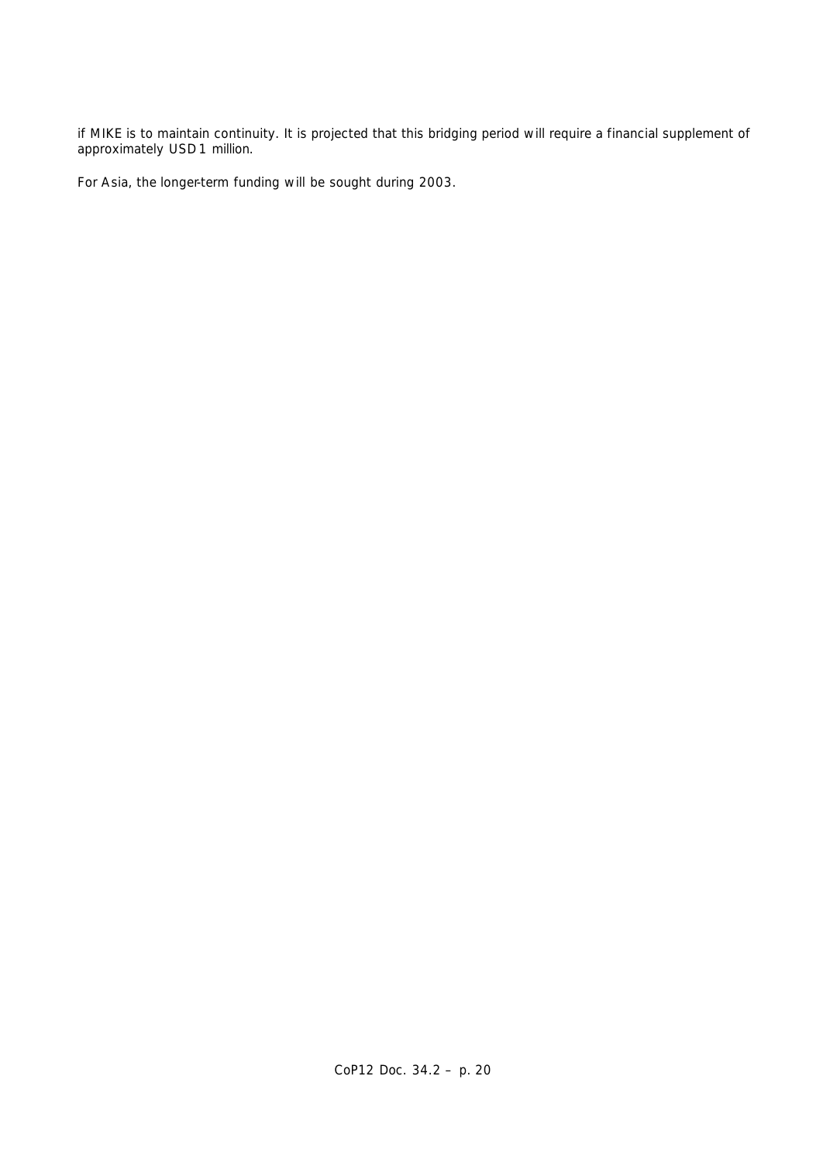if MIKE is to maintain continuity. It is projected that this bridging period will require a financial supplement of approximately USD 1 million.

For Asia, the longer-term funding will be sought during 2003.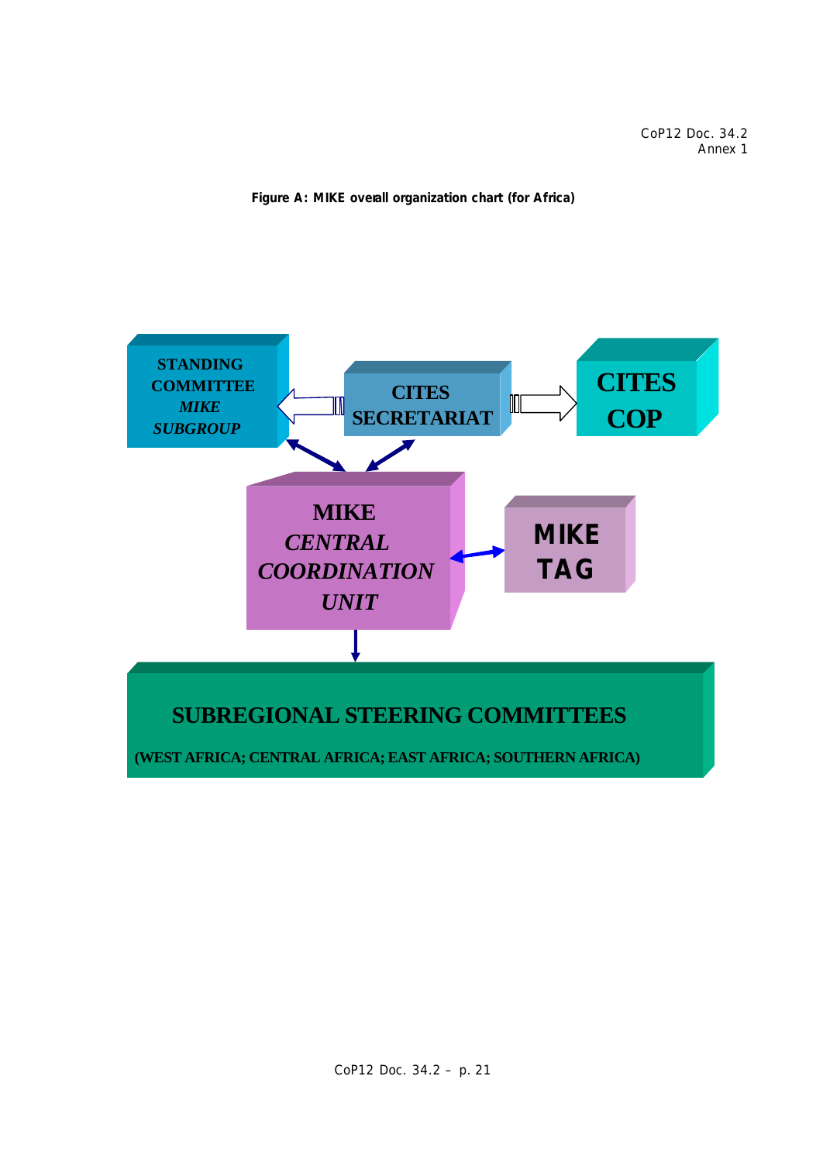CoP12 Doc. 34.2 Annex 1



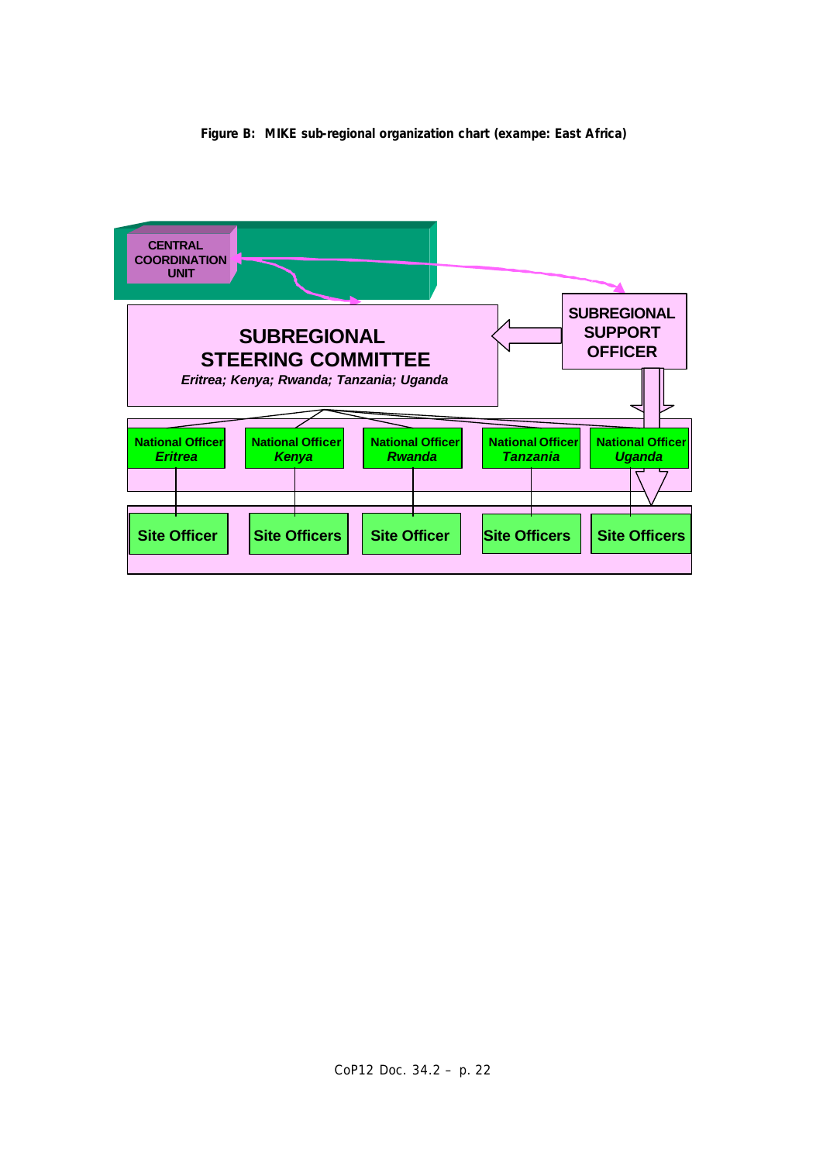

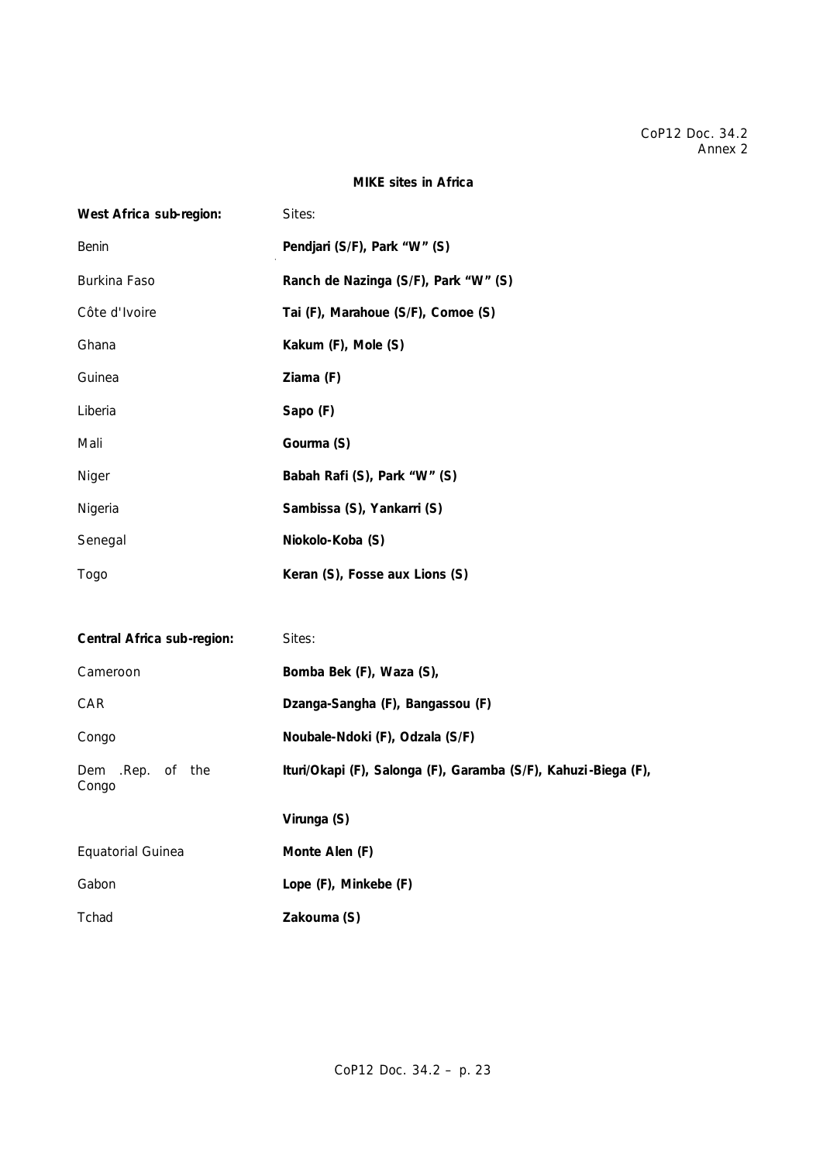### **MIKE sites in Africa**

| West Africa sub-region:    | Sites:                                                         |
|----------------------------|----------------------------------------------------------------|
| Benin                      | Pendjari (S/F), Park "W" (S)                                   |
| Burkina Faso               | Ranch de Nazinga (S/F), Park "W" (S)                           |
| Côte d'Ivoire              | Tai (F), Marahoue (S/F), Comoe (S)                             |
| Ghana                      | Kakum (F), Mole (S)                                            |
| Guinea                     | Ziama (F)                                                      |
| Liberia                    | Sapo (F)                                                       |
| Mali                       | Gourma (S)                                                     |
| Niger                      | Babah Rafi (S), Park "W" (S)                                   |
| Nigeria                    | Sambissa (S), Yankarri (S)                                     |
| Senegal                    | Niokolo-Koba (S)                                               |
| Togo                       | Keran (S), Fosse aux Lions (S)                                 |
|                            |                                                                |
| Central Africa sub-region: | Sites:                                                         |
| Cameroon                   | Bomba Bek (F), Waza (S),                                       |
| CAR                        | Dzanga-Sangha (F), Bangassou (F)                               |
| Congo                      | Noubale-Ndoki (F), Odzala (S/F)                                |
| Dem .Rep. of the<br>Congo  | Ituri/Okapi (F), Salonga (F), Garamba (S/F), Kahuzi-Biega (F), |
|                            | Virunga (S)                                                    |
| Equatorial Guinea          | Monte Alen (F)                                                 |
| Gabon                      | Lope (F), Minkebe (F)                                          |
| Tchad                      | Zakouma (S)                                                    |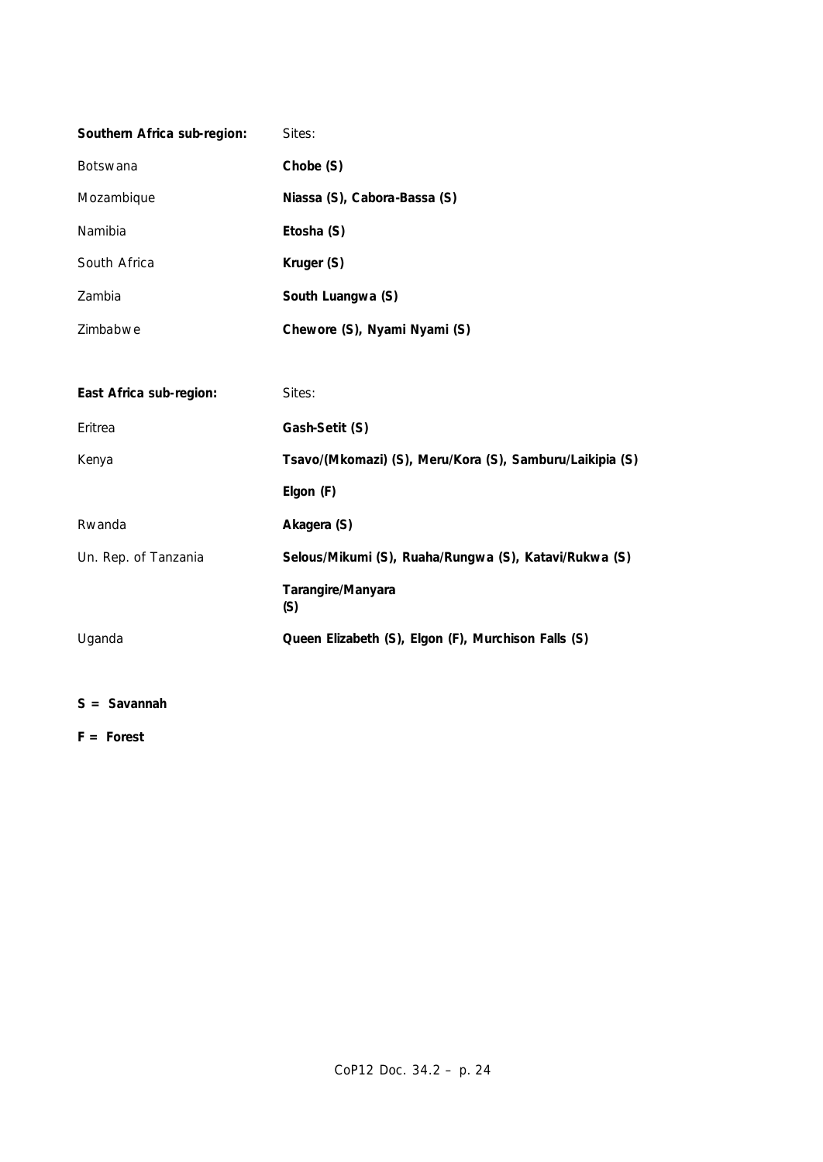| Southern Africa sub-region: | Sites:                                                   |
|-----------------------------|----------------------------------------------------------|
| Botswana                    | Chobe (S)                                                |
| Mozambique                  | Niassa (S), Cabora-Bassa (S)                             |
| Namibia                     | Etosha (S)                                               |
| South Africa                | Kruger (S)                                               |
| Zambia                      | South Luangwa (S)                                        |
| Zimbabwe                    | Chewore (S), Nyami Nyami (S)                             |
|                             |                                                          |
| East Africa sub-region:     | Sites:                                                   |
| Eritrea                     | Gash-Setit (S)                                           |
| Kenya                       | Tsavo/(Mkomazi) (S), Meru/Kora (S), Samburu/Laikipia (S) |
|                             | Elgon (F)                                                |
| Rwanda                      | Akagera (S)                                              |
| Un. Rep. of Tanzania        | Selous/Mikumi (S), Ruaha/Rungwa (S), Katavi/Rukwa (S)    |
|                             | Tarangire/Manyara<br>(S)                                 |
| Uganda                      | Queen Elizabeth (S), Elgon (F), Murchison Falls (S)      |

## **S = Savannah**

## **F = Forest**